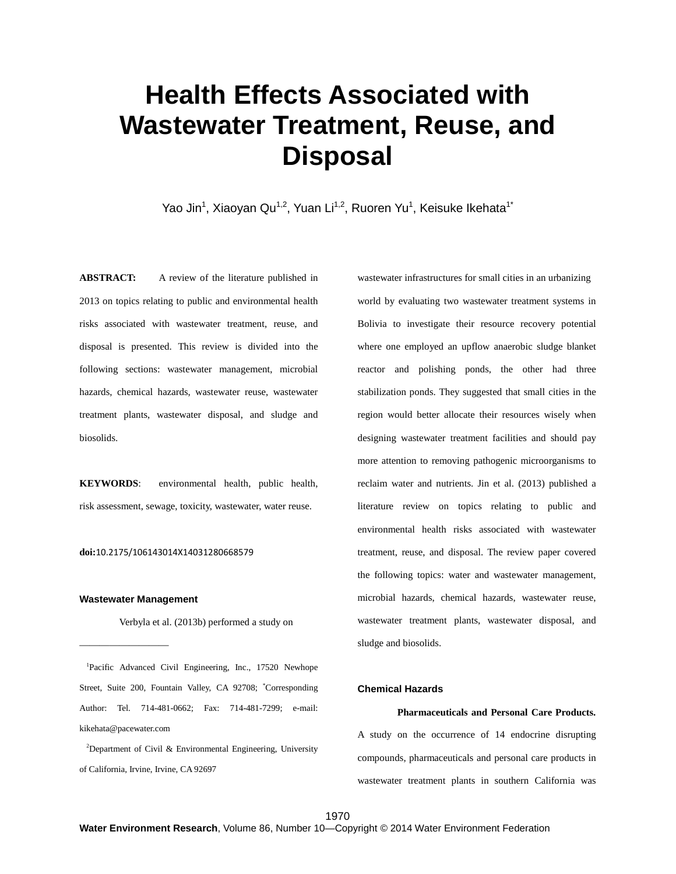# **Health Effects Associated with Wastewater Treatment, Reuse, and Disposal**

Yao Jin<sup>1</sup>, Xiaoyan Qu<sup>1,2</sup>, Yuan Li<sup>1,2</sup>, Ruoren Yu<sup>1</sup>, Keisuke Ikehata<sup>1\*</sup>

**ABSTRACT:** A review of the literature published in 2013 on topics relating to public and environmental health risks associated with wastewater treatment, reuse, and disposal is presented. This review is divided into the following sections: wastewater management, microbial hazards, chemical hazards, wastewater reuse, wastewater treatment plants, wastewater disposal, and sludge and biosolids.

**KEYWORDS**: environmental health, public health, risk assessment, sewage, toxicity, wastewater, water reuse.

#### **doi:**10.2175/106143014X14031280668579

# **Wastewater Management**

—————————

Verbyla et al. (2013b) performed a study on

<sup>1</sup>Pacific Advanced Civil Engineering, Inc., 17520 Newhope Street, Suite 200, Fountain Valley, CA 92708; \* Corresponding Author: Tel. 714-481-0662; Fax: 714-481-7299; e-mail: kikehata@pacewater.com

<sup>2</sup>Department of Civil & Environmental Engineering, University of California, Irvine, Irvine, CA 92697

wastewater infrastructures for small cities in an urbanizing world by evaluating two wastewater treatment systems in Bolivia to investigate their resource recovery potential where one employed an upflow anaerobic sludge blanket reactor and polishing ponds, the other had three stabilization ponds. They suggested that small cities in the region would better allocate their resources wisely when designing wastewater treatment facilities and should pay more attention to removing pathogenic microorganisms to reclaim water and nutrients. Jin et al. (2013) published a literature review on topics relating to public and environmental health risks associated with wastewater treatment, reuse, and disposal. The review paper covered the following topics: water and wastewater management, microbial hazards, chemical hazards, wastewater reuse, wastewater treatment plants, wastewater disposal, and sludge and biosolids.

# **Chemical Hazards**

#### **Pharmaceuticals and Personal Care Products.**

A study on the occurrence of 14 endocrine disrupting compounds, pharmaceuticals and personal care products in wastewater treatment plants in southern California was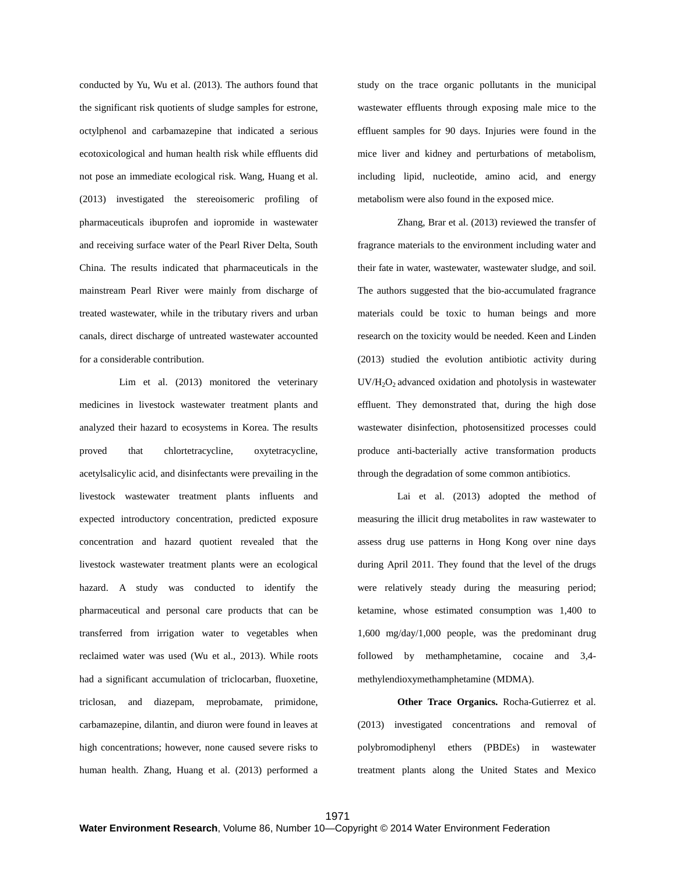conducted by Yu, Wu et al. (2013). The authors found that the significant risk quotients of sludge samples for estrone, octylphenol and carbamazepine that indicated a serious ecotoxicological and human health risk while effluents did not pose an immediate ecological risk. Wang, Huang et al. (2013) investigated the stereoisomeric profiling of pharmaceuticals ibuprofen and iopromide in wastewater and receiving surface water of the Pearl River Delta, South China. The results indicated that pharmaceuticals in the mainstream Pearl River were mainly from discharge of treated wastewater, while in the tributary rivers and urban canals, direct discharge of untreated wastewater accounted for a considerable contribution.

Lim et al. (2013) monitored the veterinary medicines in livestock wastewater treatment plants and analyzed their hazard to ecosystems in Korea. The results proved that chlortetracycline, oxytetracycline, acetylsalicylic acid, and disinfectants were prevailing in the livestock wastewater treatment plants influents and expected introductory concentration, predicted exposure concentration and hazard quotient revealed that the livestock wastewater treatment plants were an ecological hazard. A study was conducted to identify the pharmaceutical and personal care products that can be transferred from irrigation water to vegetables when reclaimed water was used (Wu et al., 2013). While roots had a significant accumulation of triclocarban, fluoxetine, triclosan, and diazepam, meprobamate, primidone, carbamazepine, dilantin, and diuron were found in leaves at high concentrations; however, none caused severe risks to human health. Zhang, Huang et al. (2013) performed a

study on the trace organic pollutants in the municipal wastewater effluents through exposing male mice to the effluent samples for 90 days. Injuries were found in the mice liver and kidney and perturbations of metabolism, including lipid, nucleotide, amino acid, and energy metabolism were also found in the exposed mice.

Zhang, Brar et al. (2013) reviewed the transfer of fragrance materials to the environment including water and their fate in water, wastewater, wastewater sludge, and soil. The authors suggested that the bio-accumulated fragrance materials could be toxic to human beings and more research on the toxicity would be needed. Keen and Linden (2013) studied the evolution antibiotic activity during UV/H2O2 advanced oxidation and photolysis in wastewater effluent. They demonstrated that, during the high dose wastewater disinfection, photosensitized processes could produce anti-bacterially active transformation products through the degradation of some common antibiotics.

Lai et al. (2013) adopted the method of measuring the illicit drug metabolites in raw wastewater to assess drug use patterns in Hong Kong over nine days during April 2011. They found that the level of the drugs were relatively steady during the measuring period; ketamine, whose estimated consumption was 1,400 to 1,600 mg/day/1,000 people, was the predominant drug followed by methamphetamine, cocaine and 3,4 methylendioxymethamphetamine (MDMA).

**Other Trace Organics.** Rocha-Gutierrez et al. (2013) investigated concentrations and removal of polybromodiphenyl ethers (PBDEs) in wastewater treatment plants along the United States and Mexico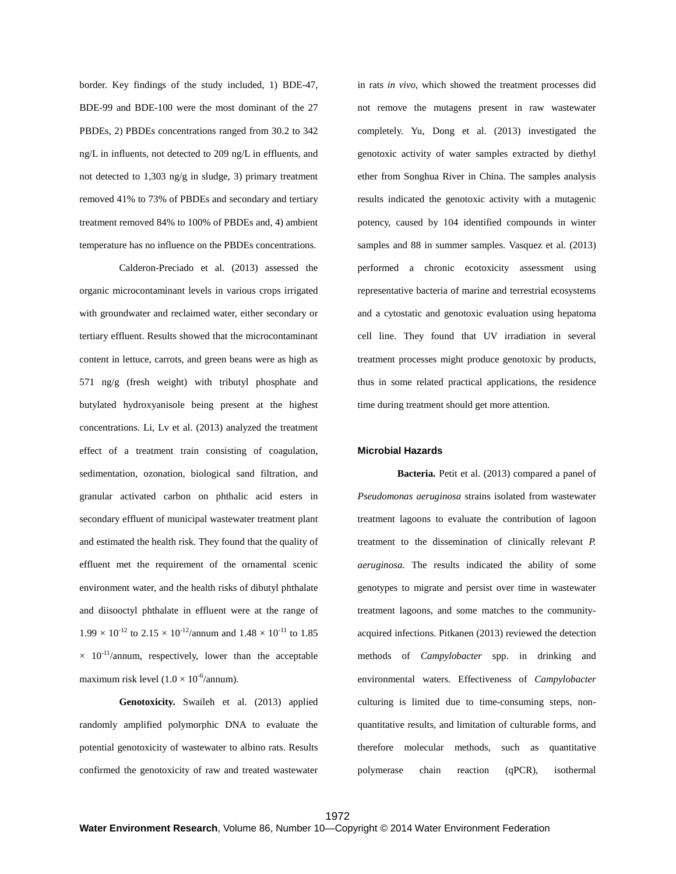border. Key findings of the study included, 1) BDE-47, BDE-99 and BDE-100 were the most dominant of the 27 PBDEs, 2) PBDEs concentrations ranged from 30.2 to 342 ng/L in influents, not detected to 209 ng/L in effluents, and not detected to 1,303 ng/g in sludge, 3) primary treatment removed 41% to 73% of PBDEs and secondary and tertiary treatment removed 84% to 100% of PBDEs and, 4) ambient temperature has no influence on the PBDEs concentrations.

Calderon-Preciado et al. (2013) assessed the organic microcontaminant levels in various crops irrigated with groundwater and reclaimed water, either secondary or tertiary effluent. Results showed that the microcontaminant content in lettuce, carrots, and green beans were as high as 571 ng/g (fresh weight) with tributyl phosphate and butylated hydroxyanisole being present at the highest concentrations. Li, Lv et al. (2013) analyzed the treatment effect of a treatment train consisting of coagulation, sedimentation, ozonation, biological sand filtration, and granular activated carbon on phthalic acid esters in secondary effluent of municipal wastewater treatment plant and estimated the health risk. They found that the quality of effluent met the requirement of the ornamental scenic environment water, and the health risks of dibutyl phthalate and diisooctyl phthalate in effluent were at the range of  $1.99 \times 10^{-12}$  to  $2.15 \times 10^{-12}$ /annum and  $1.48 \times 10^{-11}$  to  $1.85$  $\times$  10<sup>-11</sup>/annum, respectively, lower than the acceptable maximum risk level  $(1.0 \times 10^{-6}/$ annum).

**Genotoxicity.** Swaileh et al. (2013) applied randomly amplified polymorphic DNA to evaluate the potential genotoxicity of wastewater to albino rats. Results confirmed the genotoxicity of raw and treated wastewater in rats *in vivo*, which showed the treatment processes did not remove the mutagens present in raw wastewater completely. Yu, Dong et al. (2013) investigated the genotoxic activity of water samples extracted by diethyl ether from Songhua River in China. The samples analysis results indicated the genotoxic activity with a mutagenic potency, caused by 104 identified compounds in winter samples and 88 in summer samples. Vasquez et al. (2013) performed a chronic ecotoxicity assessment using representative bacteria of marine and terrestrial ecosystems and a cytostatic and genotoxic evaluation using hepatoma cell line. They found that UV irradiation in several treatment processes might produce genotoxic by products, thus in some related practical applications, the residence time during treatment should get more attention.

# **Microbial Hazards**

**Bacteria.** Petit et al. (2013) compared a panel of *Pseudomonas aeruginosa* strains isolated from wastewater treatment lagoons to evaluate the contribution of lagoon treatment to the dissemination of clinically relevant *P. aeruginosa*. The results indicated the ability of some genotypes to migrate and persist over time in wastewater treatment lagoons, and some matches to the communityacquired infections. Pitkanen (2013) reviewed the detection methods of *Campylobacter* spp. in drinking and environmental waters. Effectiveness of *Campylobacter* culturing is limited due to time-consuming steps, nonquantitative results, and limitation of culturable forms, and therefore molecular methods, such as quantitative polymerase chain reaction (qPCR), isothermal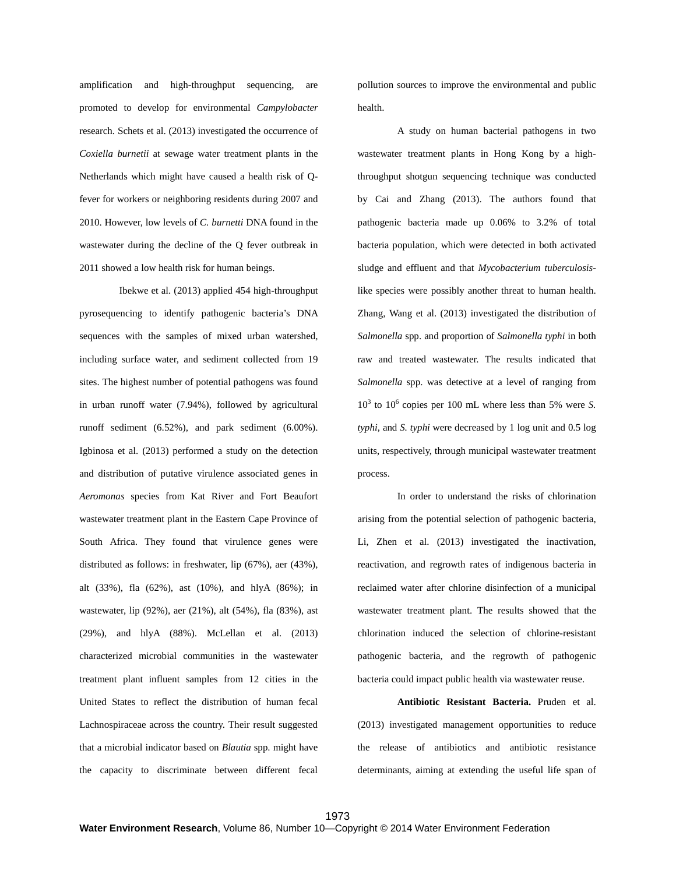amplification and high-throughput sequencing, are promoted to develop for environmental *Campylobacter* research. Schets et al. (2013) investigated the occurrence of *Coxiella burnetii* at sewage water treatment plants in the Netherlands which might have caused a health risk of Qfever for workers or neighboring residents during 2007 and 2010. However, low levels of *C. burnetti* DNA found in the wastewater during the decline of the Q fever outbreak in 2011 showed a low health risk for human beings.

Ibekwe et al. (2013) applied 454 high-throughput pyrosequencing to identify pathogenic bacteria's DNA sequences with the samples of mixed urban watershed, including surface water, and sediment collected from 19 sites. The highest number of potential pathogens was found in urban runoff water (7.94%), followed by agricultural runoff sediment (6.52%), and park sediment (6.00%). Igbinosa et al. (2013) performed a study on the detection and distribution of putative virulence associated genes in *Aeromonas* species from Kat River and Fort Beaufort wastewater treatment plant in the Eastern Cape Province of South Africa. They found that virulence genes were distributed as follows: in freshwater, lip (67%), aer (43%), alt (33%), fla (62%), ast (10%), and hlyA (86%); in wastewater, lip (92%), aer (21%), alt (54%), fla (83%), ast (29%), and hlyA (88%). McLellan et al. (2013) characterized microbial communities in the wastewater treatment plant influent samples from 12 cities in the United States to reflect the distribution of human fecal Lachnospiraceae across the country. Their result suggested that a microbial indicator based on *Blautia* spp. might have the capacity to discriminate between different fecal

pollution sources to improve the environmental and public health.

A study on human bacterial pathogens in two wastewater treatment plants in Hong Kong by a highthroughput shotgun sequencing technique was conducted by Cai and Zhang (2013). The authors found that pathogenic bacteria made up 0.06% to 3.2% of total bacteria population, which were detected in both activated sludge and effluent and that *Mycobacterium tuberculosis*like species were possibly another threat to human health. Zhang, Wang et al. (2013) investigated the distribution of *Salmonella* spp. and proportion of *Salmonella typhi* in both raw and treated wastewater. The results indicated that *Salmonella* spp. was detective at a level of ranging from  $10<sup>3</sup>$  to  $10<sup>6</sup>$  copies per 100 mL where less than 5% were *S*. *typhi*, and *S. typhi* were decreased by 1 log unit and 0.5 log units, respectively, through municipal wastewater treatment process.

In order to understand the risks of chlorination arising from the potential selection of pathogenic bacteria, Li, Zhen et al. (2013) investigated the inactivation, reactivation, and regrowth rates of indigenous bacteria in reclaimed water after chlorine disinfection of a municipal wastewater treatment plant. The results showed that the chlorination induced the selection of chlorine-resistant pathogenic bacteria, and the regrowth of pathogenic bacteria could impact public health via wastewater reuse.

**Antibiotic Resistant Bacteria.** Pruden et al. (2013) investigated management opportunities to reduce the release of antibiotics and antibiotic resistance determinants, aiming at extending the useful life span of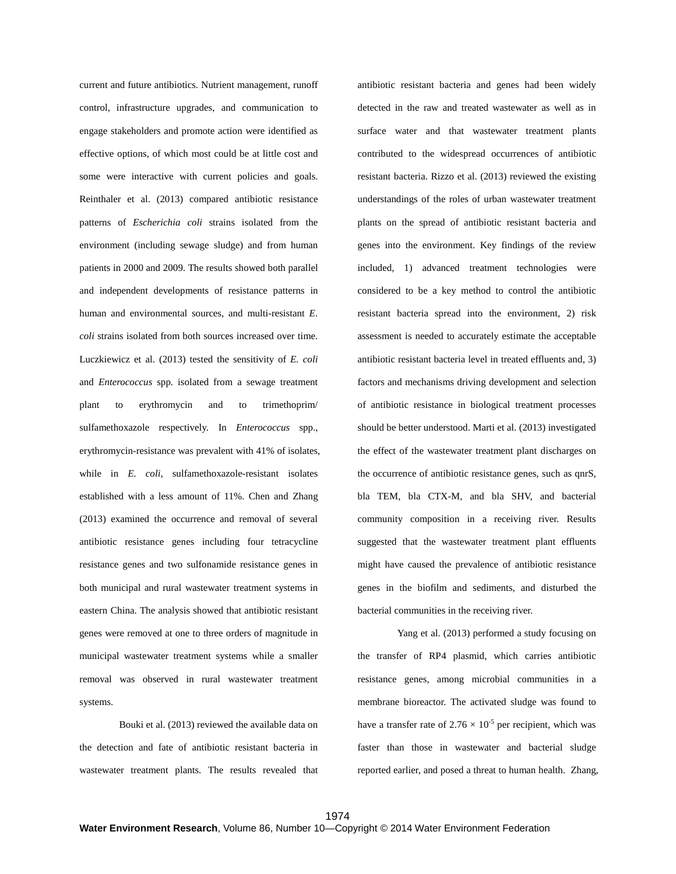current and future antibiotics. Nutrient management, runoff control, infrastructure upgrades, and communication to engage stakeholders and promote action were identified as effective options, of which most could be at little cost and some were interactive with current policies and goals. Reinthaler et al. (2013) compared antibiotic resistance patterns of *Escherichia coli* strains isolated from the environment (including sewage sludge) and from human patients in 2000 and 2009. The results showed both parallel and independent developments of resistance patterns in human and environmental sources, and multi-resistant *E*. *coli* strains isolated from both sources increased over time. Luczkiewicz et al. (2013) tested the sensitivity of *E. coli* and *Enterococcus* spp. isolated from a sewage treatment plant to erythromycin and to trimethoprim/ sulfamethoxazole respectively. In *Enterococcus* spp., erythromycin-resistance was prevalent with 41% of isolates, while in *E. coli*, sulfamethoxazole-resistant isolates established with a less amount of 11%. Chen and Zhang (2013) examined the occurrence and removal of several antibiotic resistance genes including four tetracycline resistance genes and two sulfonamide resistance genes in both municipal and rural wastewater treatment systems in eastern China. The analysis showed that antibiotic resistant genes were removed at one to three orders of magnitude in municipal wastewater treatment systems while a smaller removal was observed in rural wastewater treatment systems.

Bouki et al. (2013) reviewed the available data on the detection and fate of antibiotic resistant bacteria in wastewater treatment plants. The results revealed that

antibiotic resistant bacteria and genes had been widely detected in the raw and treated wastewater as well as in surface water and that wastewater treatment plants contributed to the widespread occurrences of antibiotic resistant bacteria. Rizzo et al. (2013) reviewed the existing understandings of the roles of urban wastewater treatment plants on the spread of antibiotic resistant bacteria and genes into the environment. Key findings of the review included, 1) advanced treatment technologies were considered to be a key method to control the antibiotic resistant bacteria spread into the environment, 2) risk assessment is needed to accurately estimate the acceptable antibiotic resistant bacteria level in treated effluents and, 3) factors and mechanisms driving development and selection of antibiotic resistance in biological treatment processes should be better understood. Marti et al. (2013) investigated the effect of the wastewater treatment plant discharges on the occurrence of antibiotic resistance genes, such as qnrS, bla TEM, bla CTX-M, and bla SHV, and bacterial community composition in a receiving river. Results suggested that the wastewater treatment plant effluents might have caused the prevalence of antibiotic resistance genes in the biofilm and sediments, and disturbed the bacterial communities in the receiving river.

Yang et al. (2013) performed a study focusing on the transfer of RP4 plasmid, which carries antibiotic resistance genes, among microbial communities in a membrane bioreactor. The activated sludge was found to have a transfer rate of  $2.76 \times 10^{-5}$  per recipient, which was faster than those in wastewater and bacterial sludge reported earlier, and posed a threat to human health. Zhang,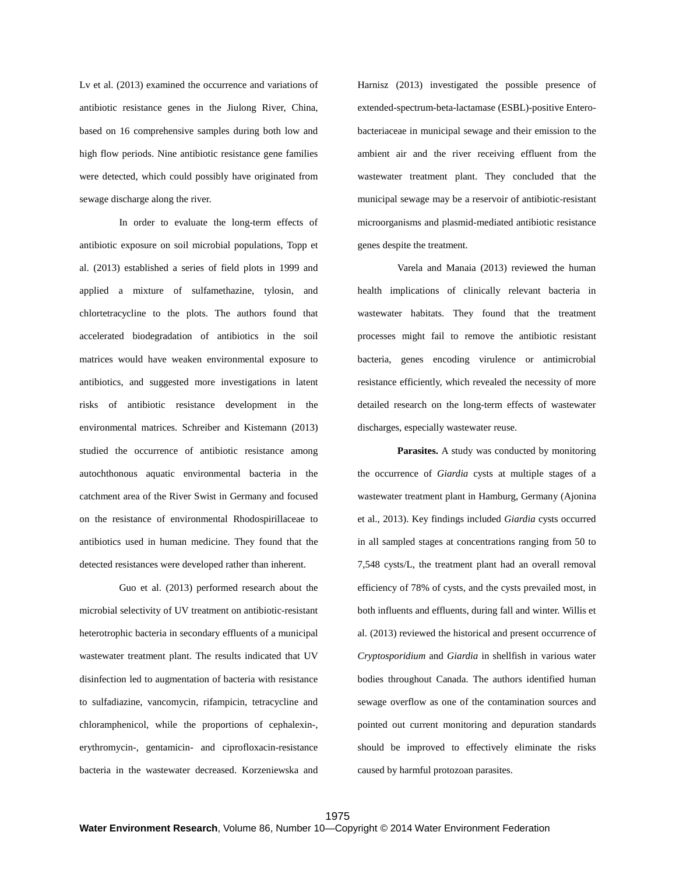Lv et al. (2013) examined the occurrence and variations of antibiotic resistance genes in the Jiulong River, China, based on 16 comprehensive samples during both low and high flow periods. Nine antibiotic resistance gene families were detected, which could possibly have originated from sewage discharge along the river.

In order to evaluate the long-term effects of antibiotic exposure on soil microbial populations, Topp et al. (2013) established a series of field plots in 1999 and applied a mixture of sulfamethazine, tylosin, and chlortetracycline to the plots. The authors found that accelerated biodegradation of antibiotics in the soil matrices would have weaken environmental exposure to antibiotics, and suggested more investigations in latent risks of antibiotic resistance development in the environmental matrices. Schreiber and Kistemann (2013) studied the occurrence of antibiotic resistance among autochthonous aquatic environmental bacteria in the catchment area of the River Swist in Germany and focused on the resistance of environmental Rhodospirillaceae to antibiotics used in human medicine. They found that the detected resistances were developed rather than inherent.

Guo et al. (2013) performed research about the microbial selectivity of UV treatment on antibiotic-resistant heterotrophic bacteria in secondary effluents of a municipal wastewater treatment plant. The results indicated that UV disinfection led to augmentation of bacteria with resistance to sulfadiazine, vancomycin, rifampicin, tetracycline and chloramphenicol, while the proportions of cephalexin-, erythromycin-, gentamicin- and ciprofloxacin-resistance bacteria in the wastewater decreased. Korzeniewska and

Harnisz (2013) investigated the possible presence of extended-spectrum-beta-lactamase (ESBL)-positive Enterobacteriaceae in municipal sewage and their emission to the ambient air and the river receiving effluent from the wastewater treatment plant. They concluded that the municipal sewage may be a reservoir of antibiotic-resistant microorganisms and plasmid-mediated antibiotic resistance genes despite the treatment.

Varela and Manaia (2013) reviewed the human health implications of clinically relevant bacteria in wastewater habitats. They found that the treatment processes might fail to remove the antibiotic resistant bacteria, genes encoding virulence or antimicrobial resistance efficiently, which revealed the necessity of more detailed research on the long-term effects of wastewater discharges, especially wastewater reuse.

**Parasites.** A study was conducted by monitoring the occurrence of *Giardia* cysts at multiple stages of a wastewater treatment plant in Hamburg, Germany (Ajonina et al., 2013). Key findings included *Giardia* cysts occurred in all sampled stages at concentrations ranging from 50 to 7,548 cysts/L, the treatment plant had an overall removal efficiency of 78% of cysts, and the cysts prevailed most, in both influents and effluents, during fall and winter. Willis et al. (2013) reviewed the historical and present occurrence of *Cryptosporidium* and *Giardia* in shellfish in various water bodies throughout Canada. The authors identified human sewage overflow as one of the contamination sources and pointed out current monitoring and depuration standards should be improved to effectively eliminate the risks caused by harmful protozoan parasites.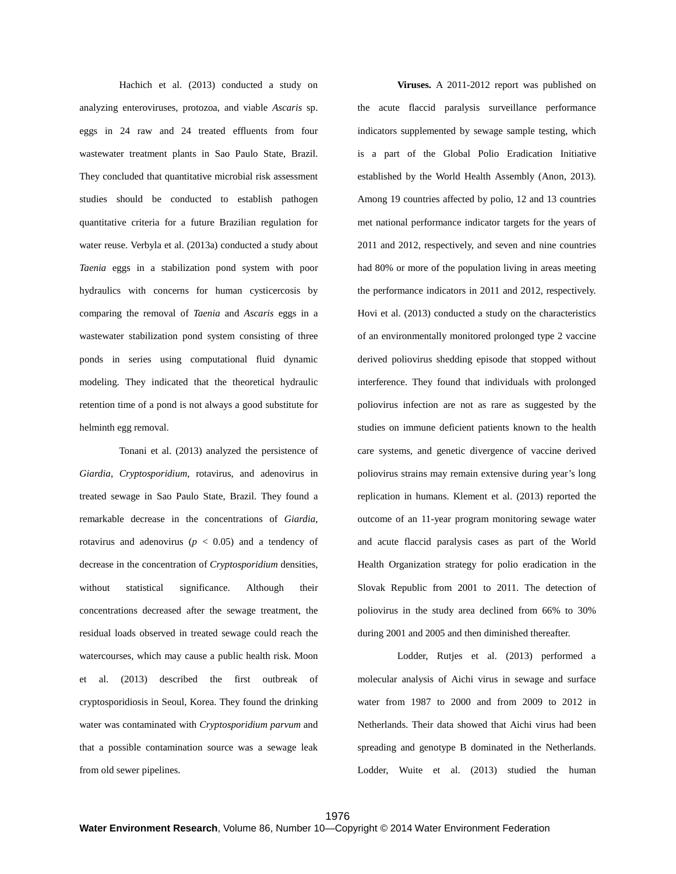Hachich et al. (2013) conducted a study on analyzing enteroviruses, protozoa, and viable *Ascaris* sp. eggs in 24 raw and 24 treated effluents from four wastewater treatment plants in Sao Paulo State, Brazil. They concluded that quantitative microbial risk assessment studies should be conducted to establish pathogen quantitative criteria for a future Brazilian regulation for water reuse. Verbyla et al. (2013a) conducted a study about *Taenia* eggs in a stabilization pond system with poor hydraulics with concerns for human cysticercosis by comparing the removal of *Taenia* and *Ascaris* eggs in a wastewater stabilization pond system consisting of three ponds in series using computational fluid dynamic modeling. They indicated that the theoretical hydraulic retention time of a pond is not always a good substitute for helminth egg removal.

Tonani et al. (2013) analyzed the persistence of *Giardia*, *Cryptosporidium*, rotavirus, and adenovirus in treated sewage in Sao Paulo State, Brazil. They found a remarkable decrease in the concentrations of *Giardia*, rotavirus and adenovirus ( $p < 0.05$ ) and a tendency of decrease in the concentration of *Cryptosporidium* densities, without statistical significance. Although their concentrations decreased after the sewage treatment, the residual loads observed in treated sewage could reach the watercourses, which may cause a public health risk. Moon et al. (2013) described the first outbreak of cryptosporidiosis in Seoul, Korea. They found the drinking water was contaminated with *Cryptosporidium parvum* and that a possible contamination source was a sewage leak from old sewer pipelines.

**Viruses.** A 2011-2012 report was published on the acute flaccid paralysis surveillance performance indicators supplemented by sewage sample testing, which is a part of the Global Polio Eradication Initiative established by the World Health Assembly (Anon, 2013). Among 19 countries affected by polio, 12 and 13 countries met national performance indicator targets for the years of 2011 and 2012, respectively, and seven and nine countries had 80% or more of the population living in areas meeting the performance indicators in 2011 and 2012, respectively. Hovi et al. (2013) conducted a study on the characteristics of an environmentally monitored prolonged type 2 vaccine derived poliovirus shedding episode that stopped without interference. They found that individuals with prolonged poliovirus infection are not as rare as suggested by the studies on immune deficient patients known to the health care systems, and genetic divergence of vaccine derived poliovirus strains may remain extensive during year's long replication in humans. Klement et al. (2013) reported the outcome of an 11-year program monitoring sewage water and acute flaccid paralysis cases as part of the World Health Organization strategy for polio eradication in the Slovak Republic from 2001 to 2011. The detection of poliovirus in the study area declined from 66% to 30% during 2001 and 2005 and then diminished thereafter.

Lodder, Rutjes et al. (2013) performed a molecular analysis of Aichi virus in sewage and surface water from 1987 to 2000 and from 2009 to 2012 in Netherlands. Their data showed that Aichi virus had been spreading and genotype B dominated in the Netherlands. Lodder, Wuite et al. (2013) studied the human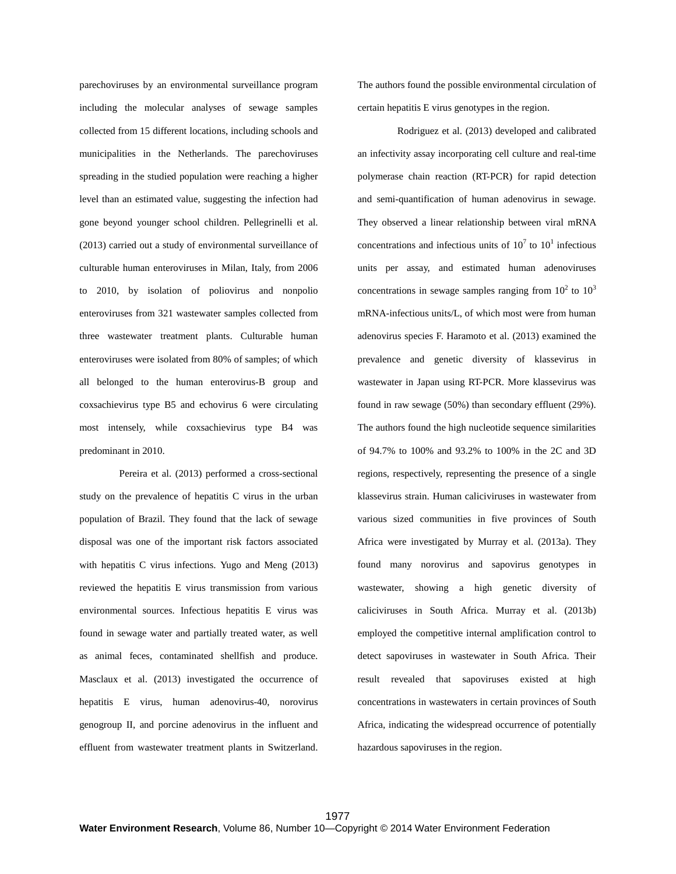parechoviruses by an environmental surveillance program including the molecular analyses of sewage samples collected from 15 different locations, including schools and municipalities in the Netherlands. The parechoviruses spreading in the studied population were reaching a higher level than an estimated value, suggesting the infection had gone beyond younger school children. Pellegrinelli et al. (2013) carried out a study of environmental surveillance of culturable human enteroviruses in Milan, Italy, from 2006 to 2010, by isolation of poliovirus and nonpolio enteroviruses from 321 wastewater samples collected from three wastewater treatment plants. Culturable human enteroviruses were isolated from 80% of samples; of which all belonged to the human enterovirus-B group and coxsachievirus type B5 and echovirus 6 were circulating most intensely, while coxsachievirus type B4 was predominant in 2010.

Pereira et al. (2013) performed a cross-sectional study on the prevalence of hepatitis C virus in the urban population of Brazil. They found that the lack of sewage disposal was one of the important risk factors associated with hepatitis C virus infections. Yugo and Meng (2013) reviewed the hepatitis E virus transmission from various environmental sources. Infectious hepatitis E virus was found in sewage water and partially treated water, as well as animal feces, contaminated shellfish and produce. Masclaux et al. (2013) investigated the occurrence of hepatitis E virus, human adenovirus-40, norovirus genogroup II, and porcine adenovirus in the influent and effluent from wastewater treatment plants in Switzerland. The authors found the possible environmental circulation of certain hepatitis E virus genotypes in the region.

Rodriguez et al. (2013) developed and calibrated an infectivity assay incorporating cell culture and real-time polymerase chain reaction (RT-PCR) for rapid detection and semi-quantification of human adenovirus in sewage. They observed a linear relationship between viral mRNA concentrations and infectious units of  $10<sup>7</sup>$  to  $10<sup>1</sup>$  infectious units per assay, and estimated human adenoviruses concentrations in sewage samples ranging from  $10^2$  to  $10^3$ mRNA-infectious units/L, of which most were from human adenovirus species F. Haramoto et al. (2013) examined the prevalence and genetic diversity of klassevirus in wastewater in Japan using RT-PCR. More klassevirus was found in raw sewage (50%) than secondary effluent (29%). The authors found the high nucleotide sequence similarities of 94.7% to 100% and 93.2% to 100% in the 2C and 3D regions, respectively, representing the presence of a single klassevirus strain. Human caliciviruses in wastewater from various sized communities in five provinces of South Africa were investigated by Murray et al. (2013a). They found many norovirus and sapovirus genotypes in wastewater, showing a high genetic diversity of caliciviruses in South Africa. Murray et al. (2013b) employed the competitive internal amplification control to detect sapoviruses in wastewater in South Africa. Their result revealed that sapoviruses existed at high concentrations in wastewaters in certain provinces of South Africa, indicating the widespread occurrence of potentially hazardous sapoviruses in the region.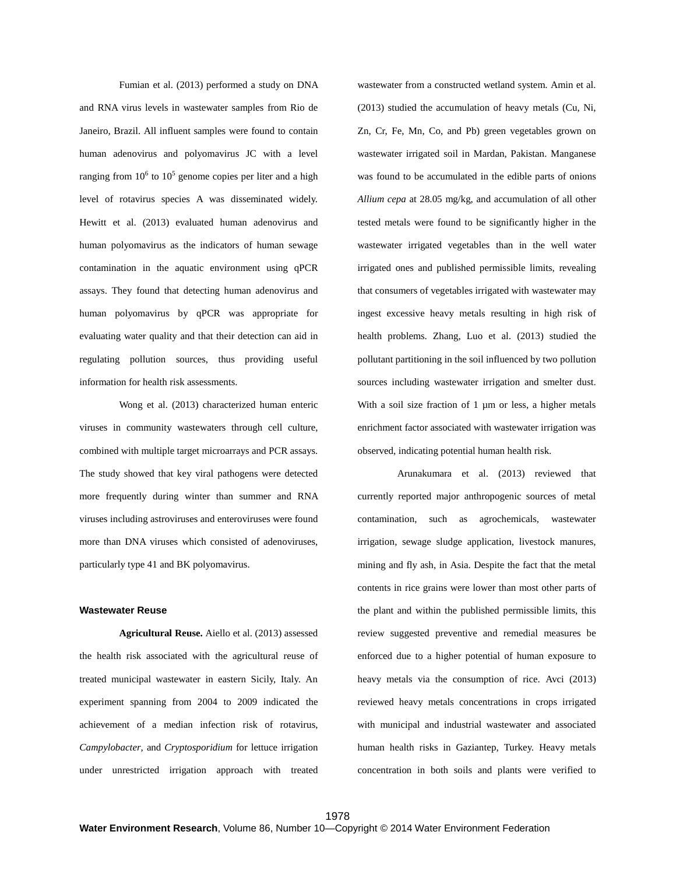Fumian et al. (2013) performed a study on DNA and RNA virus levels in wastewater samples from Rio de Janeiro, Brazil. All influent samples were found to contain human adenovirus and polyomavirus JC with a level ranging from  $10^6$  to  $10^5$  genome copies per liter and a high level of rotavirus species A was disseminated widely. Hewitt et al. (2013) evaluated human adenovirus and human polyomavirus as the indicators of human sewage contamination in the aquatic environment using qPCR assays. They found that detecting human adenovirus and human polyomavirus by qPCR was appropriate for evaluating water quality and that their detection can aid in regulating pollution sources, thus providing useful information for health risk assessments.

Wong et al. (2013) characterized human enteric viruses in community wastewaters through cell culture, combined with multiple target microarrays and PCR assays. The study showed that key viral pathogens were detected more frequently during winter than summer and RNA viruses including astroviruses and enteroviruses were found more than DNA viruses which consisted of adenoviruses, particularly type 41 and BK polyomavirus.

# **Wastewater Reuse**

**Agricultural Reuse.** Aiello et al. (2013) assessed the health risk associated with the agricultural reuse of treated municipal wastewater in eastern Sicily, Italy. An experiment spanning from 2004 to 2009 indicated the achievement of a median infection risk of rotavirus, *Campylobacter*, and *Cryptosporidium* for lettuce irrigation under unrestricted irrigation approach with treated

wastewater from a constructed wetland system. Amin et al. (2013) studied the accumulation of heavy metals (Cu, Ni, Zn, Cr, Fe, Mn, Co, and Pb) green vegetables grown on wastewater irrigated soil in Mardan, Pakistan. Manganese was found to be accumulated in the edible parts of onions *Allium cepa* at 28.05 mg/kg, and accumulation of all other tested metals were found to be significantly higher in the wastewater irrigated vegetables than in the well water irrigated ones and published permissible limits, revealing that consumers of vegetables irrigated with wastewater may ingest excessive heavy metals resulting in high risk of health problems. Zhang, Luo et al. (2013) studied the pollutant partitioning in the soil influenced by two pollution sources including wastewater irrigation and smelter dust. With a soil size fraction of 1 µm or less, a higher metals enrichment factor associated with wastewater irrigation was observed, indicating potential human health risk.

Arunakumara et al. (2013) reviewed that currently reported major anthropogenic sources of metal contamination, such as agrochemicals, wastewater irrigation, sewage sludge application, livestock manures, mining and fly ash, in Asia. Despite the fact that the metal contents in rice grains were lower than most other parts of the plant and within the published permissible limits, this review suggested preventive and remedial measures be enforced due to a higher potential of human exposure to heavy metals via the consumption of rice. Avci (2013) reviewed heavy metals concentrations in crops irrigated with municipal and industrial wastewater and associated human health risks in Gaziantep, Turkey. Heavy metals concentration in both soils and plants were verified to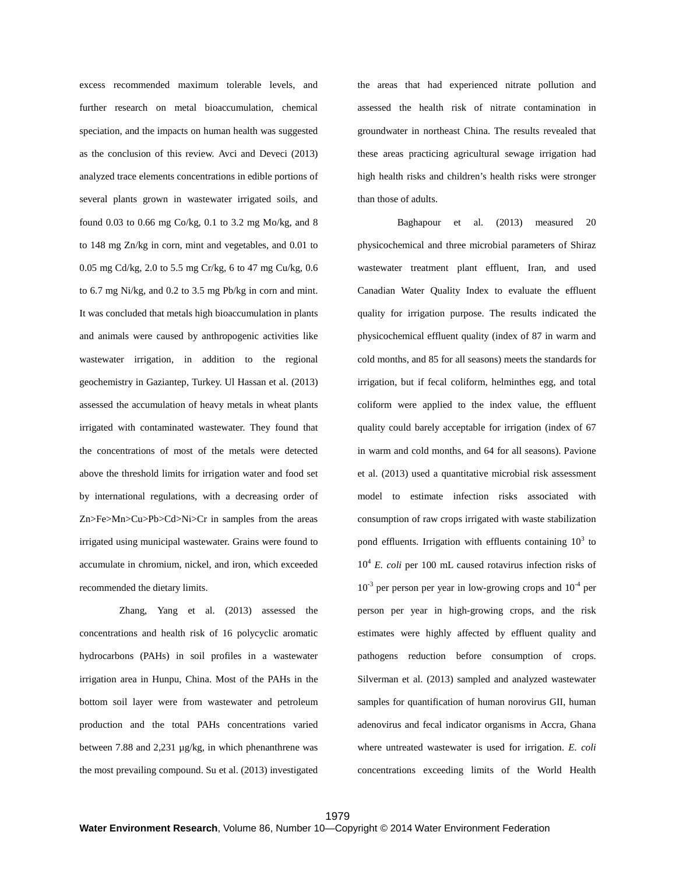excess recommended maximum tolerable levels, and further research on metal bioaccumulation, chemical speciation, and the impacts on human health was suggested as the conclusion of this review. Avci and Deveci (2013) analyzed trace elements concentrations in edible portions of several plants grown in wastewater irrigated soils, and found 0.03 to 0.66 mg Co/kg, 0.1 to 3.2 mg Mo/kg, and 8 to 148 mg Zn/kg in corn, mint and vegetables, and 0.01 to 0.05 mg Cd/kg, 2.0 to 5.5 mg Cr/kg, 6 to 47 mg Cu/kg, 0.6 to 6.7 mg Ni/kg, and 0.2 to 3.5 mg Pb/kg in corn and mint. It was concluded that metals high bioaccumulation in plants and animals were caused by anthropogenic activities like wastewater irrigation, in addition to the regional geochemistry in Gaziantep, Turkey. Ul Hassan et al. (2013) assessed the accumulation of heavy metals in wheat plants irrigated with contaminated wastewater. They found that the concentrations of most of the metals were detected above the threshold limits for irrigation water and food set by international regulations, with a decreasing order of Zn>Fe>Mn>Cu>Pb>Cd>Ni>Cr in samples from the areas irrigated using municipal wastewater. Grains were found to accumulate in chromium, nickel, and iron, which exceeded recommended the dietary limits.

Zhang, Yang et al. (2013) assessed the concentrations and health risk of 16 polycyclic aromatic hydrocarbons (PAHs) in soil profiles in a wastewater irrigation area in Hunpu, China. Most of the PAHs in the bottom soil layer were from wastewater and petroleum production and the total PAHs concentrations varied between 7.88 and 2,231 µg/kg, in which phenanthrene was the most prevailing compound. Su et al. (2013) investigated the areas that had experienced nitrate pollution and assessed the health risk of nitrate contamination in groundwater in northeast China. The results revealed that these areas practicing agricultural sewage irrigation had high health risks and children's health risks were stronger than those of adults.

Baghapour et al. (2013) measured 20 physicochemical and three microbial parameters of Shiraz wastewater treatment plant effluent, Iran, and used Canadian Water Quality Index to evaluate the effluent quality for irrigation purpose. The results indicated the physicochemical effluent quality (index of 87 in warm and cold months, and 85 for all seasons) meets the standards for irrigation, but if fecal coliform, helminthes egg, and total coliform were applied to the index value, the effluent quality could barely acceptable for irrigation (index of 67 in warm and cold months, and 64 for all seasons). Pavione et al. (2013) used a quantitative microbial risk assessment model to estimate infection risks associated with consumption of raw crops irrigated with waste stabilization pond effluents. Irrigation with effluents containing  $10<sup>3</sup>$  to 10<sup>4</sup> *E. coli* per 100 mL caused rotavirus infection risks of  $10^{-3}$  per person per year in low-growing crops and  $10^{-4}$  per person per year in high-growing crops, and the risk estimates were highly affected by effluent quality and pathogens reduction before consumption of crops. Silverman et al. (2013) sampled and analyzed wastewater samples for quantification of human norovirus GII, human adenovirus and fecal indicator organisms in Accra, Ghana where untreated wastewater is used for irrigation. *E. coli* concentrations exceeding limits of the World Health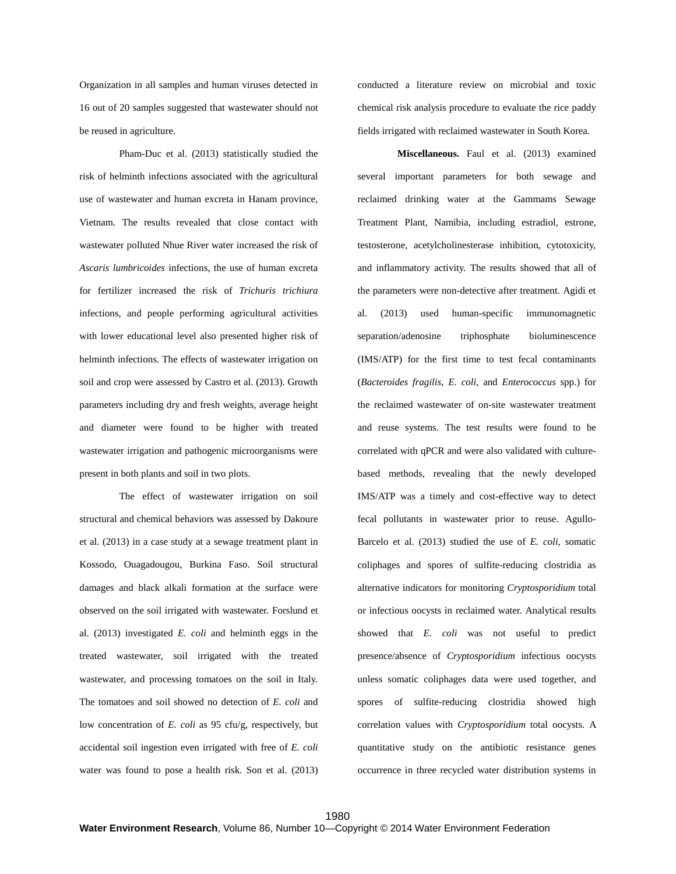Organization in all samples and human viruses detected in 16 out of 20 samples suggested that wastewater should not be reused in agriculture.

Pham-Duc et al. (2013) statistically studied the risk of helminth infections associated with the agricultural use of wastewater and human excreta in Hanam province, Vietnam. The results revealed that close contact with wastewater polluted Nhue River water increased the risk of *Ascaris lumbricoides* infections, the use of human excreta for fertilizer increased the risk of *Trichuris trichiura* infections, and people performing agricultural activities with lower educational level also presented higher risk of helminth infections. The effects of wastewater irrigation on soil and crop were assessed by Castro et al. (2013). Growth parameters including dry and fresh weights, average height and diameter were found to be higher with treated wastewater irrigation and pathogenic microorganisms were present in both plants and soil in two plots.

The effect of wastewater irrigation on soil structural and chemical behaviors was assessed by Dakoure et al. (2013) in a case study at a sewage treatment plant in Kossodo, Ouagadougou, Burkina Faso. Soil structural damages and black alkali formation at the surface were observed on the soil irrigated with wastewater. Forslund et al. (2013) investigated *E. coli* and helminth eggs in the treated wastewater, soil irrigated with the treated wastewater, and processing tomatoes on the soil in Italy. The tomatoes and soil showed no detection of *E. coli* and low concentration of *E. coli* as 95 cfu/g, respectively, but accidental soil ingestion even irrigated with free of *E. coli* water was found to pose a health risk. Son et al. (2013) conducted a literature review on microbial and toxic chemical risk analysis procedure to evaluate the rice paddy fields irrigated with reclaimed wastewater in South Korea.

**Miscellaneous.** Faul et al. (2013) examined several important parameters for both sewage and reclaimed drinking water at the Gammams Sewage Treatment Plant, Namibia, including estradiol, estrone, testosterone, acetylcholinesterase inhibition, cytotoxicity, and inflammatory activity. The results showed that all of the parameters were non-detective after treatment. Agidi et al. (2013) used human-specific immunomagnetic separation/adenosine triphosphate bioluminescence (IMS/ATP) for the first time to test fecal contaminants (*Bacteroides fragilis*, *E. coli*, and *Enterococcus* spp.) for the reclaimed wastewater of on-site wastewater treatment and reuse systems. The test results were found to be correlated with qPCR and were also validated with culturebased methods, revealing that the newly developed IMS/ATP was a timely and cost-effective way to detect fecal pollutants in wastewater prior to reuse. Agullo-Barcelo et al. (2013) studied the use of *E. coli*, somatic coliphages and spores of sulfite-reducing clostridia as alternative indicators for monitoring *Cryptosporidium* total or infectious oocysts in reclaimed water. Analytical results showed that *E. coli* was not useful to predict presence/absence of *Cryptosporidium* infectious oocysts unless somatic coliphages data were used together, and spores of sulfite-reducing clostridia showed high correlation values with *Cryptosporidium* total oocysts. A quantitative study on the antibiotic resistance genes occurrence in three recycled water distribution systems in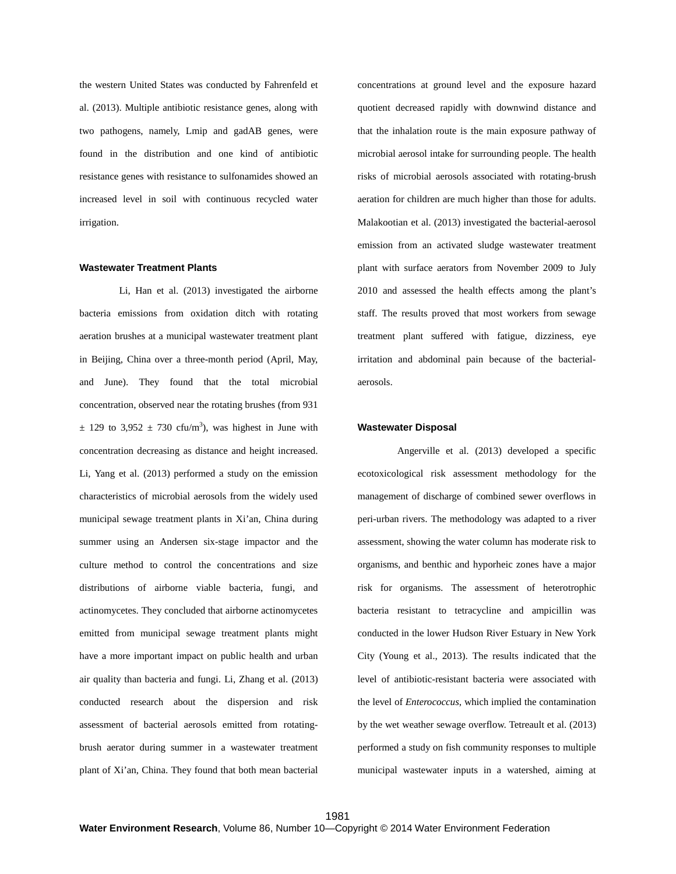the western United States was conducted by Fahrenfeld et al. (2013). Multiple antibiotic resistance genes, along with two pathogens, namely, Lmip and gadAB genes, were found in the distribution and one kind of antibiotic resistance genes with resistance to sulfonamides showed an increased level in soil with continuous recycled water irrigation.

### **Wastewater Treatment Plants**

Li, Han et al. (2013) investigated the airborne bacteria emissions from oxidation ditch with rotating aeration brushes at a municipal wastewater treatment plant in Beijing, China over a three-month period (April, May, and June). They found that the total microbial concentration, observed near the rotating brushes (from 931  $\pm$  129 to 3,952  $\pm$  730 cfu/m<sup>3</sup>), was highest in June with concentration decreasing as distance and height increased. Li, Yang et al. (2013) performed a study on the emission characteristics of microbial aerosols from the widely used municipal sewage treatment plants in Xi'an, China during summer using an Andersen six-stage impactor and the culture method to control the concentrations and size distributions of airborne viable bacteria, fungi, and actinomycetes. They concluded that airborne actinomycetes emitted from municipal sewage treatment plants might have a more important impact on public health and urban air quality than bacteria and fungi. Li, Zhang et al. (2013) conducted research about the dispersion and risk assessment of bacterial aerosols emitted from rotatingbrush aerator during summer in a wastewater treatment plant of Xi'an, China. They found that both mean bacterial

concentrations at ground level and the exposure hazard quotient decreased rapidly with downwind distance and that the inhalation route is the main exposure pathway of microbial aerosol intake for surrounding people. The health risks of microbial aerosols associated with rotating-brush aeration for children are much higher than those for adults. Malakootian et al. (2013) investigated the bacterial-aerosol emission from an activated sludge wastewater treatment plant with surface aerators from November 2009 to July 2010 and assessed the health effects among the plant's staff. The results proved that most workers from sewage treatment plant suffered with fatigue, dizziness, eye irritation and abdominal pain because of the bacterialaerosols.

### **Wastewater Disposal**

Angerville et al. (2013) developed a specific ecotoxicological risk assessment methodology for the management of discharge of combined sewer overflows in peri-urban rivers. The methodology was adapted to a river assessment, showing the water column has moderate risk to organisms, and benthic and hyporheic zones have a major risk for organisms. The assessment of heterotrophic bacteria resistant to tetracycline and ampicillin was conducted in the lower Hudson River Estuary in New York City (Young et al., 2013). The results indicated that the level of antibiotic-resistant bacteria were associated with the level of *Enterococcus*, which implied the contamination by the wet weather sewage overflow. Tetreault et al. (2013) performed a study on fish community responses to multiple municipal wastewater inputs in a watershed, aiming at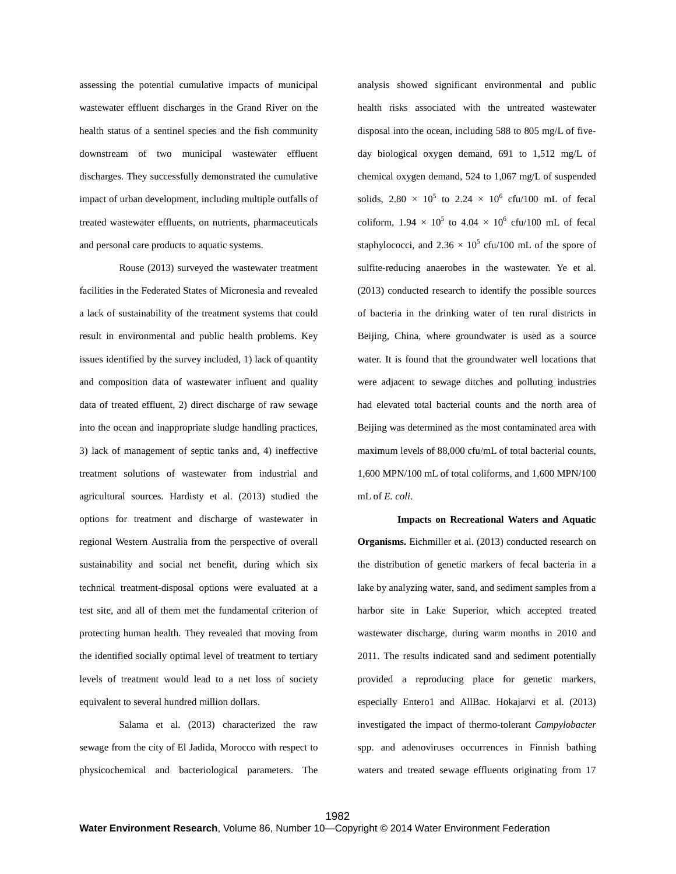assessing the potential cumulative impacts of municipal wastewater effluent discharges in the Grand River on the health status of a sentinel species and the fish community downstream of two municipal wastewater effluent discharges. They successfully demonstrated the cumulative impact of urban development, including multiple outfalls of treated wastewater effluents, on nutrients, pharmaceuticals and personal care products to aquatic systems.

Rouse (2013) surveyed the wastewater treatment facilities in the Federated States of Micronesia and revealed a lack of sustainability of the treatment systems that could result in environmental and public health problems. Key issues identified by the survey included, 1) lack of quantity and composition data of wastewater influent and quality data of treated effluent, 2) direct discharge of raw sewage into the ocean and inappropriate sludge handling practices, 3) lack of management of septic tanks and, 4) ineffective treatment solutions of wastewater from industrial and agricultural sources. Hardisty et al. (2013) studied the options for treatment and discharge of wastewater in regional Western Australia from the perspective of overall sustainability and social net benefit, during which six technical treatment-disposal options were evaluated at a test site, and all of them met the fundamental criterion of protecting human health. They revealed that moving from the identified socially optimal level of treatment to tertiary levels of treatment would lead to a net loss of society equivalent to several hundred million dollars.

Salama et al. (2013) characterized the raw sewage from the city of El Jadida, Morocco with respect to physicochemical and bacteriological parameters. The analysis showed significant environmental and public health risks associated with the untreated wastewater disposal into the ocean, including 588 to 805 mg/L of fiveday biological oxygen demand, 691 to 1,512 mg/L of chemical oxygen demand, 524 to 1,067 mg/L of suspended solids,  $2.80 \times 10^5$  to  $2.24 \times 10^6$  cfu/100 mL of fecal coliform,  $1.94 \times 10^5$  to  $4.04 \times 10^6$  cfu/100 mL of fecal staphylococci, and  $2.36 \times 10^5$  cfu/100 mL of the spore of sulfite-reducing anaerobes in the wastewater. Ye et al. (2013) conducted research to identify the possible sources of bacteria in the drinking water of ten rural districts in Beijing, China, where groundwater is used as a source water. It is found that the groundwater well locations that were adjacent to sewage ditches and polluting industries had elevated total bacterial counts and the north area of Beijing was determined as the most contaminated area with maximum levels of 88,000 cfu/mL of total bacterial counts, 1,600 MPN/100 mL of total coliforms, and 1,600 MPN/100 mL of *E. coli*.

**Impacts on Recreational Waters and Aquatic Organisms.** Eichmiller et al. (2013) conducted research on the distribution of genetic markers of fecal bacteria in a lake by analyzing water, sand, and sediment samples from a harbor site in Lake Superior, which accepted treated wastewater discharge, during warm months in 2010 and 2011. The results indicated sand and sediment potentially provided a reproducing place for genetic markers, especially Entero1 and AllBac. Hokajarvi et al. (2013) investigated the impact of thermo-tolerant *Campylobacter*  spp. and adenoviruses occurrences in Finnish bathing waters and treated sewage effluents originating from 17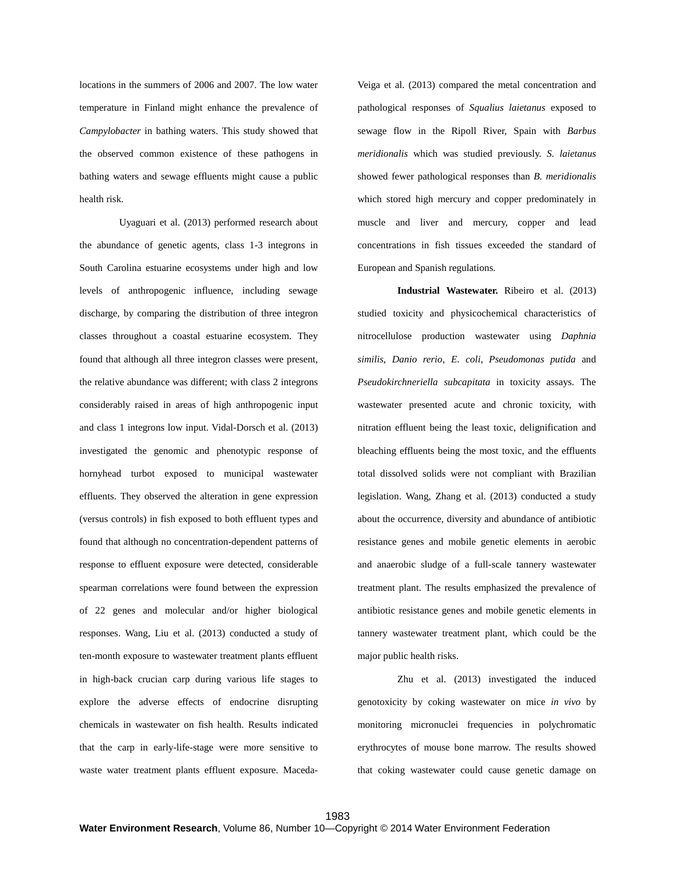locations in the summers of 2006 and 2007. The low water temperature in Finland might enhance the prevalence of *Campylobacter* in bathing waters. This study showed that the observed common existence of these pathogens in bathing waters and sewage effluents might cause a public health risk.

Uyaguari et al. (2013) performed research about the abundance of genetic agents, class 1-3 integrons in South Carolina estuarine ecosystems under high and low levels of anthropogenic influence, including sewage discharge, by comparing the distribution of three integron classes throughout a coastal estuarine ecosystem. They found that although all three integron classes were present, the relative abundance was different; with class 2 integrons considerably raised in areas of high anthropogenic input and class 1 integrons low input. Vidal-Dorsch et al. (2013) investigated the genomic and phenotypic response of hornyhead turbot exposed to municipal wastewater effluents. They observed the alteration in gene expression (versus controls) in fish exposed to both effluent types and found that although no concentration-dependent patterns of response to effluent exposure were detected, considerable spearman correlations were found between the expression of 22 genes and molecular and/or higher biological responses. Wang, Liu et al. (2013) conducted a study of ten-month exposure to wastewater treatment plants effluent in high-back crucian carp during various life stages to explore the adverse effects of endocrine disrupting chemicals in wastewater on fish health. Results indicated that the carp in early-life-stage were more sensitive to waste water treatment plants effluent exposure. MacedaVeiga et al. (2013) compared the metal concentration and pathological responses of *Squalius laietanus* exposed to sewage flow in the Ripoll River, Spain with *Barbus meridionalis* which was studied previously. *S. laietanus* showed fewer pathological responses than *B. meridionalis* which stored high mercury and copper predominately in muscle and liver and mercury, copper and lead concentrations in fish tissues exceeded the standard of European and Spanish regulations.

**Industrial Wastewater.** Ribeiro et al. (2013) studied toxicity and physicochemical characteristics of nitrocellulose production wastewater using *Daphnia similis*, *Danio rerio*, *E. coli*, *Pseudomonas putida* and *Pseudokirchneriella subcapitata* in toxicity assays. The wastewater presented acute and chronic toxicity, with nitration effluent being the least toxic, delignification and bleaching effluents being the most toxic, and the effluents total dissolved solids were not compliant with Brazilian legislation. Wang, Zhang et al. (2013) conducted a study about the occurrence, diversity and abundance of antibiotic resistance genes and mobile genetic elements in aerobic and anaerobic sludge of a full-scale tannery wastewater treatment plant. The results emphasized the prevalence of antibiotic resistance genes and mobile genetic elements in tannery wastewater treatment plant, which could be the major public health risks.

Zhu et al. (2013) investigated the induced genotoxicity by coking wastewater on mice *in vivo* by monitoring micronuclei frequencies in polychromatic erythrocytes of mouse bone marrow. The results showed that coking wastewater could cause genetic damage on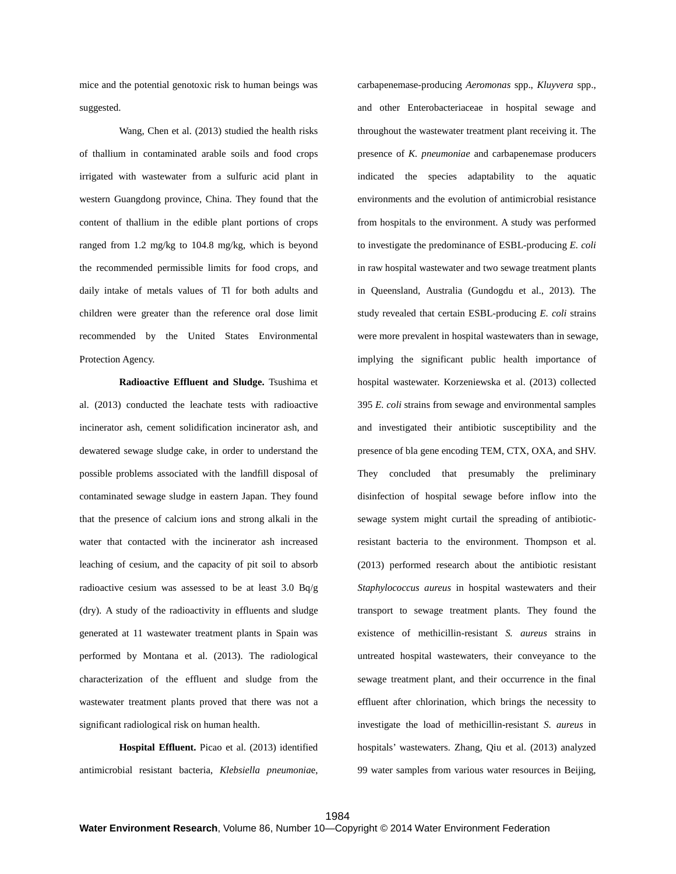mice and the potential genotoxic risk to human beings was suggested.

Wang, Chen et al. (2013) studied the health risks of thallium in contaminated arable soils and food crops irrigated with wastewater from a sulfuric acid plant in western Guangdong province, China. They found that the content of thallium in the edible plant portions of crops ranged from 1.2 mg/kg to 104.8 mg/kg, which is beyond the recommended permissible limits for food crops, and daily intake of metals values of Tl for both adults and children were greater than the reference oral dose limit recommended by the United States Environmental Protection Agency.

**Radioactive Effluent and Sludge.** Tsushima et al. (2013) conducted the leachate tests with radioactive incinerator ash, cement solidification incinerator ash, and dewatered sewage sludge cake, in order to understand the possible problems associated with the landfill disposal of contaminated sewage sludge in eastern Japan. They found that the presence of calcium ions and strong alkali in the water that contacted with the incinerator ash increased leaching of cesium, and the capacity of pit soil to absorb radioactive cesium was assessed to be at least 3.0 Bq/g (dry). A study of the radioactivity in effluents and sludge generated at 11 wastewater treatment plants in Spain was performed by Montana et al. (2013). The radiological characterization of the effluent and sludge from the wastewater treatment plants proved that there was not a significant radiological risk on human health.

**Hospital Effluent.** Picao et al. (2013) identified antimicrobial resistant bacteria, *Klebsiella pneumonia*e,

carbapenemase-producing *Aeromonas* spp., *Kluyvera* spp., and other Enterobacteriaceae in hospital sewage and throughout the wastewater treatment plant receiving it. The presence of *K. pneumoniae* and carbapenemase producers indicated the species adaptability to the aquatic environments and the evolution of antimicrobial resistance from hospitals to the environment. A study was performed to investigate the predominance of ESBL-producing *E. coli* in raw hospital wastewater and two sewage treatment plants in Queensland, Australia (Gundogdu et al., 2013). The study revealed that certain ESBL-producing *E. coli* strains were more prevalent in hospital wastewaters than in sewage, implying the significant public health importance of hospital wastewater. Korzeniewska et al. (2013) collected 395 *E. coli* strains from sewage and environmental samples and investigated their antibiotic susceptibility and the presence of bla gene encoding TEM, CTX, OXA, and SHV. They concluded that presumably the preliminary disinfection of hospital sewage before inflow into the sewage system might curtail the spreading of antibioticresistant bacteria to the environment. Thompson et al. (2013) performed research about the antibiotic resistant *Staphylococcus aureus* in hospital wastewaters and their transport to sewage treatment plants. They found the existence of methicillin-resistant *S. aureus* strains in untreated hospital wastewaters, their conveyance to the sewage treatment plant, and their occurrence in the final effluent after chlorination, which brings the necessity to investigate the load of methicillin-resistant *S. aureus* in hospitals' wastewaters. Zhang, Qiu et al. (2013) analyzed 99 water samples from various water resources in Beijing,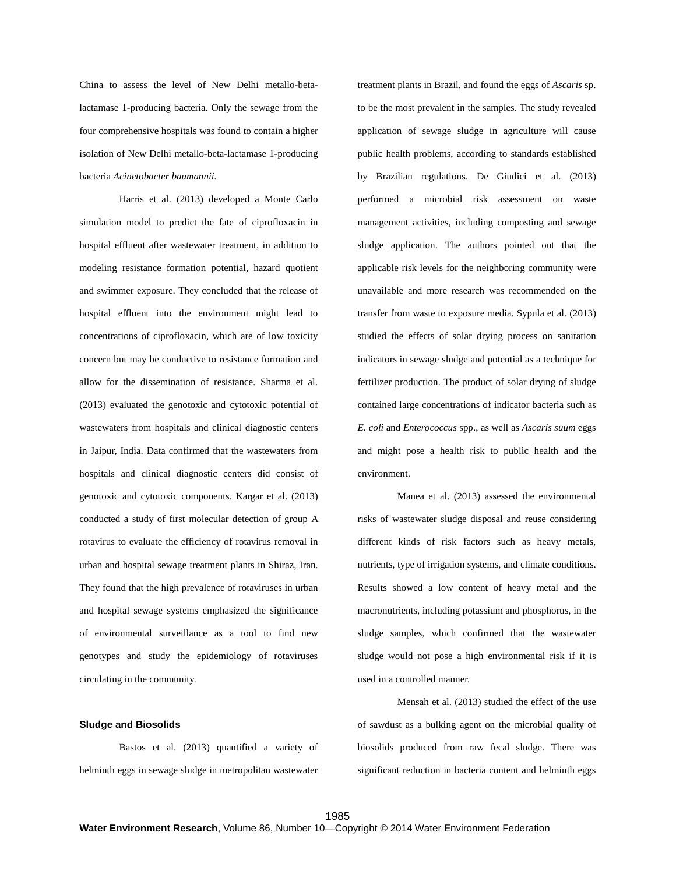China to assess the level of New Delhi metallo-betalactamase 1-producing bacteria. Only the sewage from the four comprehensive hospitals was found to contain a higher isolation of New Delhi metallo-beta-lactamase 1-producing bacteria *Acinetobacter baumannii*.

Harris et al. (2013) developed a Monte Carlo simulation model to predict the fate of ciprofloxacin in hospital effluent after wastewater treatment, in addition to modeling resistance formation potential, hazard quotient and swimmer exposure. They concluded that the release of hospital effluent into the environment might lead to concentrations of ciprofloxacin, which are of low toxicity concern but may be conductive to resistance formation and allow for the dissemination of resistance. Sharma et al. (2013) evaluated the genotoxic and cytotoxic potential of wastewaters from hospitals and clinical diagnostic centers in Jaipur, India. Data confirmed that the wastewaters from hospitals and clinical diagnostic centers did consist of genotoxic and cytotoxic components. Kargar et al. (2013) conducted a study of first molecular detection of group A rotavirus to evaluate the efficiency of rotavirus removal in urban and hospital sewage treatment plants in Shiraz, Iran. They found that the high prevalence of rotaviruses in urban and hospital sewage systems emphasized the significance of environmental surveillance as a tool to find new genotypes and study the epidemiology of rotaviruses circulating in the community.

#### **Sludge and Biosolids**

Bastos et al. (2013) quantified a variety of helminth eggs in sewage sludge in metropolitan wastewater treatment plants in Brazil, and found the eggs of *Ascaris* sp. to be the most prevalent in the samples. The study revealed application of sewage sludge in agriculture will cause public health problems, according to standards established by Brazilian regulations. De Giudici et al. (2013) performed a microbial risk assessment on waste management activities, including composting and sewage sludge application. The authors pointed out that the applicable risk levels for the neighboring community were unavailable and more research was recommended on the transfer from waste to exposure media. Sypula et al. (2013) studied the effects of solar drying process on sanitation indicators in sewage sludge and potential as a technique for fertilizer production. The product of solar drying of sludge contained large concentrations of indicator bacteria such as *E. coli* and *Enterococcus* spp., as well as *Ascaris suum* eggs and might pose a health risk to public health and the environment.

Manea et al. (2013) assessed the environmental risks of wastewater sludge disposal and reuse considering different kinds of risk factors such as heavy metals, nutrients, type of irrigation systems, and climate conditions. Results showed a low content of heavy metal and the macronutrients, including potassium and phosphorus, in the sludge samples, which confirmed that the wastewater sludge would not pose a high environmental risk if it is used in a controlled manner.

Mensah et al. (2013) studied the effect of the use of sawdust as a bulking agent on the microbial quality of biosolids produced from raw fecal sludge. There was significant reduction in bacteria content and helminth eggs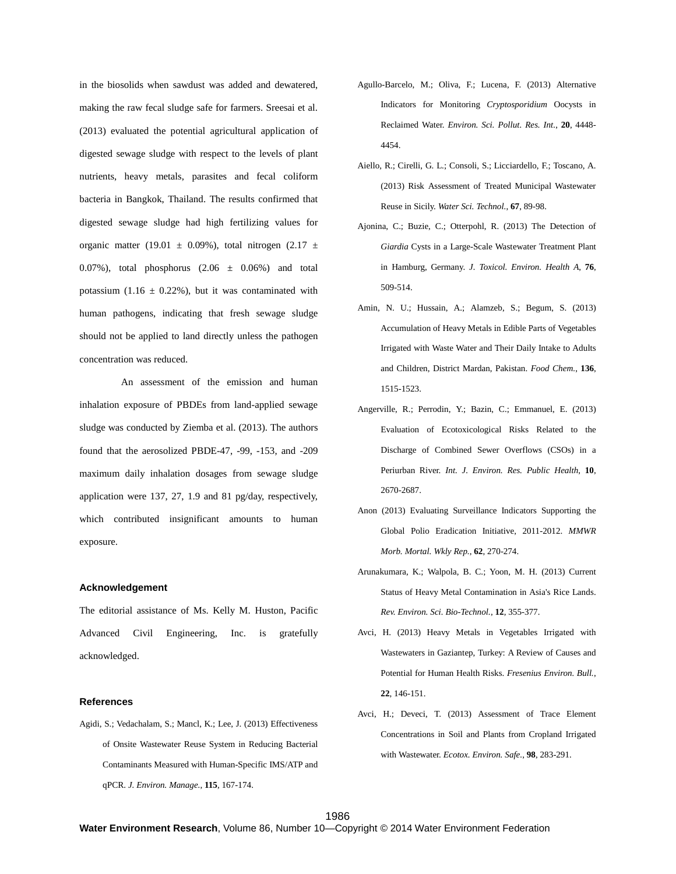in the biosolids when sawdust was added and dewatered, making the raw fecal sludge safe for farmers. Sreesai et al. (2013) evaluated the potential agricultural application of digested sewage sludge with respect to the levels of plant nutrients, heavy metals, parasites and fecal coliform bacteria in Bangkok, Thailand. The results confirmed that digested sewage sludge had high fertilizing values for organic matter (19.01  $\pm$  0.09%), total nitrogen (2.17  $\pm$ 0.07%), total phosphorus  $(2.06 \pm 0.06%)$  and total potassium (1.16  $\pm$  0.22%), but it was contaminated with human pathogens, indicating that fresh sewage sludge should not be applied to land directly unless the pathogen concentration was reduced.

An assessment of the emission and human inhalation exposure of PBDEs from land-applied sewage sludge was conducted by Ziemba et al. (2013). The authors found that the aerosolized PBDE-47, -99, -153, and -209 maximum daily inhalation dosages from sewage sludge application were 137, 27, 1.9 and 81 pg/day, respectively, which contributed insignificant amounts to human exposure.

# **Acknowledgement**

The editorial assistance of Ms. Kelly M. Huston, Pacific Advanced Civil Engineering, Inc. is gratefully acknowledged.

#### **References**

Agidi, S.; Vedachalam, S.; Mancl, K.; Lee, J. (2013) Effectiveness of Onsite Wastewater Reuse System in Reducing Bacterial Contaminants Measured with Human-Specific IMS/ATP and qPCR. *J. Environ. Manage.*, **115**, 167-174.

- Agullo-Barcelo, M.; Oliva, F.; Lucena, F. (2013) Alternative Indicators for Monitoring *Cryptosporidium* Oocysts in Reclaimed Water. *Environ. Sci. Pollut. Res. Int.*, **20**, 4448- 4454.
- Aiello, R.; Cirelli, G. L.; Consoli, S.; Licciardello, F.; Toscano, A. (2013) Risk Assessment of Treated Municipal Wastewater Reuse in Sicily. *Water Sci. Technol.*, **67**, 89-98.
- Ajonina, C.; Buzie, C.; Otterpohl, R. (2013) The Detection of *Giardia* Cysts in a Large-Scale Wastewater Treatment Plant in Hamburg, Germany. *J. Toxicol. Environ. Health A*, **76**, 509-514.
- Amin, N. U.; Hussain, A.; Alamzeb, S.; Begum, S. (2013) Accumulation of Heavy Metals in Edible Parts of Vegetables Irrigated with Waste Water and Their Daily Intake to Adults and Children, District Mardan, Pakistan. *Food Chem.*, **136**, 1515-1523.
- Angerville, R.; Perrodin, Y.; Bazin, C.; Emmanuel, E. (2013) Evaluation of Ecotoxicological Risks Related to the Discharge of Combined Sewer Overflows (CSOs) in a Periurban River. *Int. J. Environ. Res. Public Health*, **10**, 2670-2687.
- Anon (2013) Evaluating Surveillance Indicators Supporting the Global Polio Eradication Initiative, 2011-2012. *MMWR Morb. Mortal. Wkly Rep.*, **62**, 270-274.
- Arunakumara, K.; Walpola, B. C.; Yoon, M. H. (2013) Current Status of Heavy Metal Contamination in Asia's Rice Lands. *Rev. Environ. Sci. Bio-Technol.*, **12**, 355-377.
- Avci, H. (2013) Heavy Metals in Vegetables Irrigated with Wastewaters in Gaziantep, Turkey: A Review of Causes and Potential for Human Health Risks. *Fresenius Environ. Bull.*, **22**, 146-151.
- Avci, H.; Deveci, T. (2013) Assessment of Trace Element Concentrations in Soil and Plants from Cropland Irrigated with Wastewater. *Ecotox. Environ. Safe.*, **98**, 283-291.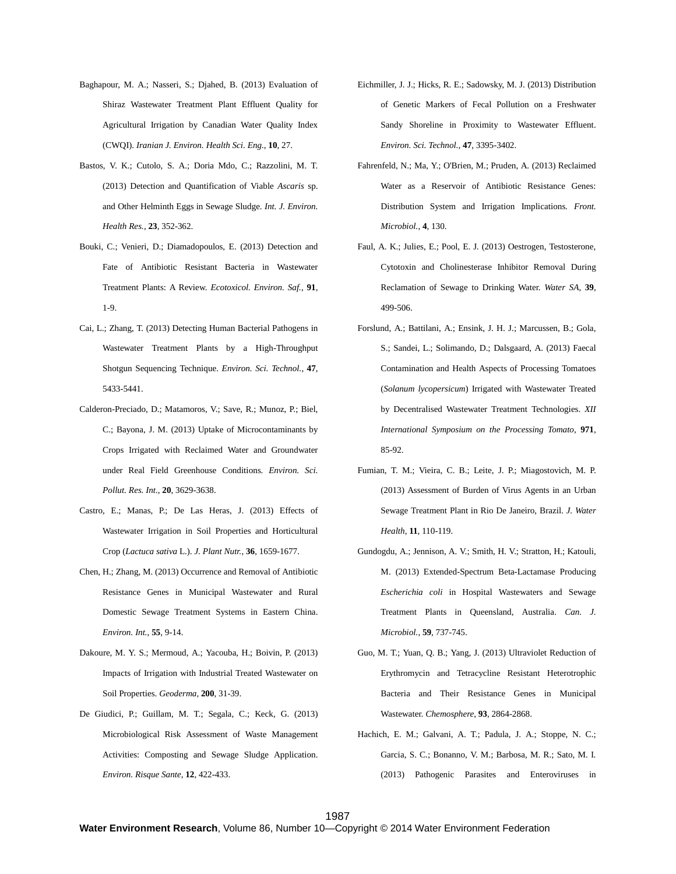- Baghapour, M. A.; Nasseri, S.; Djahed, B. (2013) Evaluation of Shiraz Wastewater Treatment Plant Effluent Quality for Agricultural Irrigation by Canadian Water Quality Index (CWQI). *Iranian J. Environ. Health Sci. Eng.*, **10**, 27.
- Bastos, V. K.; Cutolo, S. A.; Doria Mdo, C.; Razzolini, M. T. (2013) Detection and Quantification of Viable *Ascaris* sp. and Other Helminth Eggs in Sewage Sludge. *Int. J. Environ. Health Res.*, **23**, 352-362.
- Bouki, C.; Venieri, D.; Diamadopoulos, E. (2013) Detection and Fate of Antibiotic Resistant Bacteria in Wastewater Treatment Plants: A Review. *Ecotoxicol. Environ. Saf.*, **91**, 1-9.
- Cai, L.; Zhang, T. (2013) Detecting Human Bacterial Pathogens in Wastewater Treatment Plants by a High-Throughput Shotgun Sequencing Technique. *Environ. Sci. Technol.*, **47**, 5433-5441.
- Calderon-Preciado, D.; Matamoros, V.; Save, R.; Munoz, P.; Biel, C.; Bayona, J. M. (2013) Uptake of Microcontaminants by Crops Irrigated with Reclaimed Water and Groundwater under Real Field Greenhouse Conditions. *Environ. Sci. Pollut. Res. Int.*, **20**, 3629-3638.
- Castro, E.; Manas, P.; De Las Heras, J. (2013) Effects of Wastewater Irrigation in Soil Properties and Horticultural Crop (*Lactuca sativa* L.). *J. Plant Nutr.*, **36**, 1659-1677.
- Chen, H.; Zhang, M. (2013) Occurrence and Removal of Antibiotic Resistance Genes in Municipal Wastewater and Rural Domestic Sewage Treatment Systems in Eastern China. *Environ. Int.*, **55**, 9-14.
- Dakoure, M. Y. S.; Mermoud, A.; Yacouba, H.; Boivin, P. (2013) Impacts of Irrigation with Industrial Treated Wastewater on Soil Properties. *Geoderma*, **200**, 31-39.
- De Giudici, P.; Guillam, M. T.; Segala, C.; Keck, G. (2013) Microbiological Risk Assessment of Waste Management Activities: Composting and Sewage Sludge Application. *Environ. Risque Sante*, **12**, 422-433.
- Eichmiller, J. J.; Hicks, R. E.; Sadowsky, M. J. (2013) Distribution of Genetic Markers of Fecal Pollution on a Freshwater Sandy Shoreline in Proximity to Wastewater Effluent. *Environ. Sci. Technol.*, **47**, 3395-3402.
- Fahrenfeld, N.; Ma, Y.; O'Brien, M.; Pruden, A. (2013) Reclaimed Water as a Reservoir of Antibiotic Resistance Genes: Distribution System and Irrigation Implications. *Front. Microbiol.*, **4**, 130.
- Faul, A. K.; Julies, E.; Pool, E. J. (2013) Oestrogen, Testosterone, Cytotoxin and Cholinesterase Inhibitor Removal During Reclamation of Sewage to Drinking Water. *Water SA*, **39**, 499-506.
- Forslund, A.; Battilani, A.; Ensink, J. H. J.; Marcussen, B.; Gola, S.; Sandei, L.; Solimando, D.; Dalsgaard, A. (2013) Faecal Contamination and Health Aspects of Processing Tomatoes (*Solanum lycopersicum*) Irrigated with Wastewater Treated by Decentralised Wastewater Treatment Technologies. *XII International Symposium on the Processing Tomato*, **971**, 85-92.
- Fumian, T. M.; Vieira, C. B.; Leite, J. P.; Miagostovich, M. P. (2013) Assessment of Burden of Virus Agents in an Urban Sewage Treatment Plant in Rio De Janeiro, Brazil. *J. Water Health*, **11**, 110-119.
- Gundogdu, A.; Jennison, A. V.; Smith, H. V.; Stratton, H.; Katouli, M. (2013) Extended-Spectrum Beta-Lactamase Producing *Escherichia coli* in Hospital Wastewaters and Sewage Treatment Plants in Queensland, Australia. *Can. J. Microbiol.*, **59**, 737-745.
- Guo, M. T.; Yuan, Q. B.; Yang, J. (2013) Ultraviolet Reduction of Erythromycin and Tetracycline Resistant Heterotrophic Bacteria and Their Resistance Genes in Municipal Wastewater. *Chemosphere*, **93**, 2864-2868.
- Hachich, E. M.; Galvani, A. T.; Padula, J. A.; Stoppe, N. C.; Garcia, S. C.; Bonanno, V. M.; Barbosa, M. R.; Sato, M. I. (2013) Pathogenic Parasites and Enteroviruses in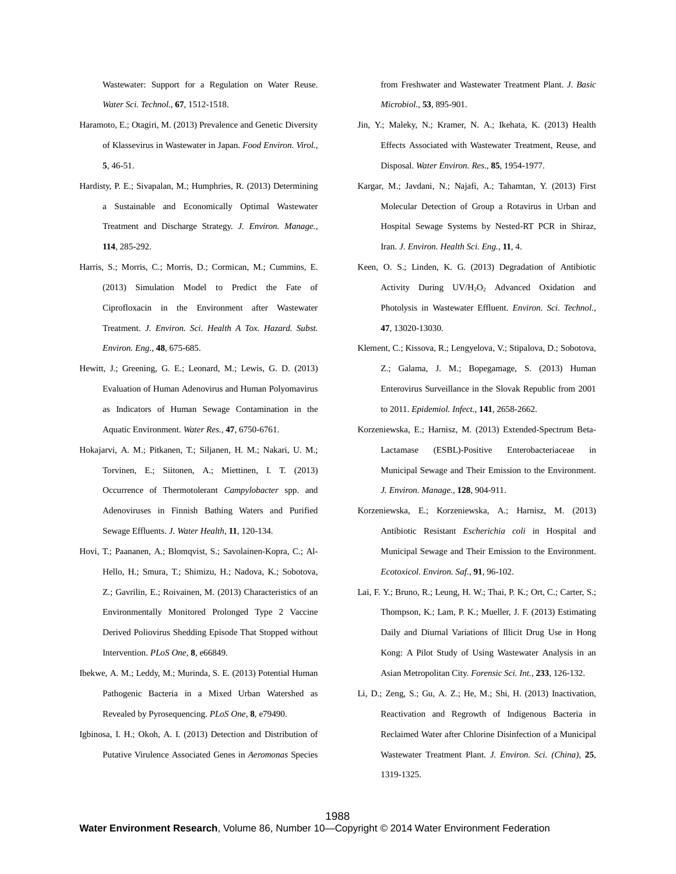Wastewater: Support for a Regulation on Water Reuse. *Water Sci. Technol.*, **67**, 1512-1518.

- Haramoto, E.; Otagiri, M. (2013) Prevalence and Genetic Diversity of Klassevirus in Wastewater in Japan. *Food Environ. Virol.*, **5**, 46-51.
- Hardisty, P. E.; Sivapalan, M.; Humphries, R. (2013) Determining a Sustainable and Economically Optimal Wastewater Treatment and Discharge Strategy. *J. Environ. Manage.*, **114**, 285-292.
- Harris, S.; Morris, C.; Morris, D.; Cormican, M.; Cummins, E. (2013) Simulation Model to Predict the Fate of Ciprofloxacin in the Environment after Wastewater Treatment. *J. Environ. Sci. Health A Tox. Hazard. Subst. Environ. Eng.*, **48**, 675-685.
- Hewitt, J.; Greening, G. E.; Leonard, M.; Lewis, G. D. (2013) Evaluation of Human Adenovirus and Human Polyomavirus as Indicators of Human Sewage Contamination in the Aquatic Environment. *Water Res.*, **47**, 6750-6761.
- Hokajarvi, A. M.; Pitkanen, T.; Siljanen, H. M.; Nakari, U. M.; Torvinen, E.; Siitonen, A.; Miettinen, I. T. (2013) Occurrence of Thermotolerant *Campylobacter* spp. and Adenoviruses in Finnish Bathing Waters and Purified Sewage Effluents. *J. Water Health*, **11**, 120-134.
- Hovi, T.; Paananen, A.; Blomqvist, S.; Savolainen-Kopra, C.; Al-Hello, H.; Smura, T.; Shimizu, H.; Nadova, K.; Sobotova, Z.; Gavrilin, E.; Roivainen, M. (2013) Characteristics of an Environmentally Monitored Prolonged Type 2 Vaccine Derived Poliovirus Shedding Episode That Stopped without Intervention. *PLoS One*, **8**, e66849.
- Ibekwe, A. M.; Leddy, M.; Murinda, S. E. (2013) Potential Human Pathogenic Bacteria in a Mixed Urban Watershed as Revealed by Pyrosequencing. *PLoS One*, **8**, e79490.
- Igbinosa, I. H.; Okoh, A. I. (2013) Detection and Distribution of Putative Virulence Associated Genes in *Aeromonas* Species

from Freshwater and Wastewater Treatment Plant. *J. Basic Microbiol.*, **53**, 895-901.

- Jin, Y.; Maleky, N.; Kramer, N. A.; Ikehata, K. (2013) Health Effects Associated with Wastewater Treatment, Reuse, and Disposal. *Water Environ. Res.*, **85**, 1954-1977.
- Kargar, M.; Javdani, N.; Najafi, A.; Tahamtan, Y. (2013) First Molecular Detection of Group a Rotavirus in Urban and Hospital Sewage Systems by Nested-RT PCR in Shiraz, Iran. *J. Environ. Health Sci. Eng.*, **11**, 4.
- Keen, O. S.; Linden, K. G. (2013) Degradation of Antibiotic Activity During UV/H<sub>2</sub>O<sub>2</sub> Advanced Oxidation and Photolysis in Wastewater Effluent. *Environ. Sci. Technol.*, **47**, 13020-13030.
- Klement, C.; Kissova, R.; Lengyelova, V.; Stipalova, D.; Sobotova, Z.; Galama, J. M.; Bopegamage, S. (2013) Human Enterovirus Surveillance in the Slovak Republic from 2001 to 2011. *Epidemiol. Infect.*, **141**, 2658-2662.
- Korzeniewska, E.; Harnisz, M. (2013) Extended-Spectrum Beta-Lactamase (ESBL)-Positive Enterobacteriaceae in Municipal Sewage and Their Emission to the Environment. *J. Environ. Manage.*, **128**, 904-911.
- Korzeniewska, E.; Korzeniewska, A.; Harnisz, M. (2013) Antibiotic Resistant *Escherichia coli* in Hospital and Municipal Sewage and Their Emission to the Environment. *Ecotoxicol. Environ. Saf.*, **91**, 96-102.
- Lai, F. Y.; Bruno, R.; Leung, H. W.; Thai, P. K.; Ort, C.; Carter, S.; Thompson, K.; Lam, P. K.; Mueller, J. F. (2013) Estimating Daily and Diurnal Variations of Illicit Drug Use in Hong Kong: A Pilot Study of Using Wastewater Analysis in an Asian Metropolitan City. *Forensic Sci. Int.*, **233**, 126-132.
- Li, D.; Zeng, S.; Gu, A. Z.; He, M.; Shi, H. (2013) Inactivation, Reactivation and Regrowth of Indigenous Bacteria in Reclaimed Water after Chlorine Disinfection of a Municipal Wastewater Treatment Plant. *J. Environ. Sci. (China)*, **25**, 1319-1325.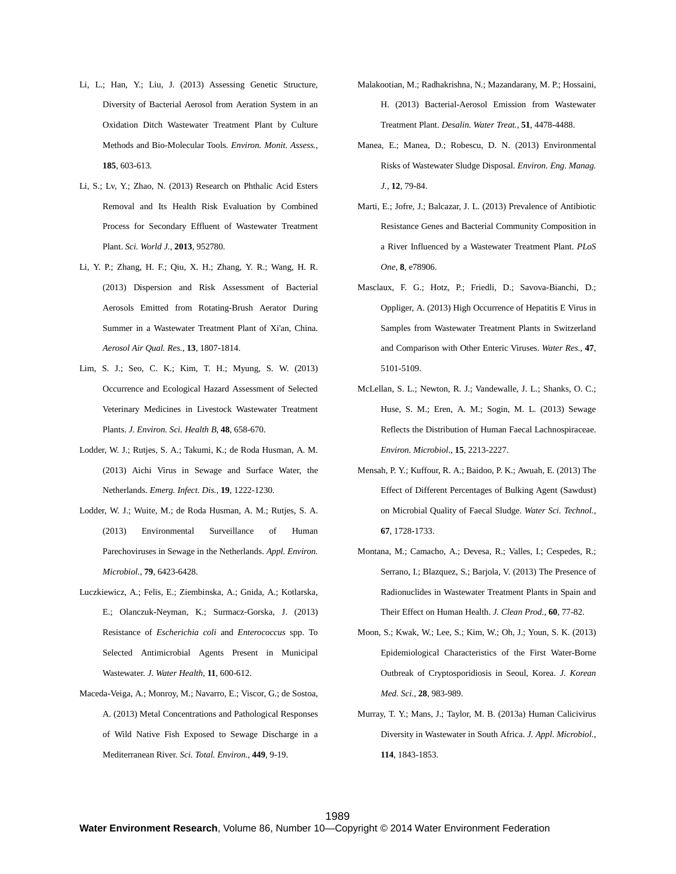- Li, L.; Han, Y.; Liu, J. (2013) Assessing Genetic Structure, Diversity of Bacterial Aerosol from Aeration System in an Oxidation Ditch Wastewater Treatment Plant by Culture Methods and Bio-Molecular Tools. *Environ. Monit. Assess.*, **185**, 603-613.
- Li, S.; Lv, Y.; Zhao, N. (2013) Research on Phthalic Acid Esters Removal and Its Health Risk Evaluation by Combined Process for Secondary Effluent of Wastewater Treatment Plant. *Sci. World J.*, **2013**, 952780.
- Li, Y. P.; Zhang, H. F.; Qiu, X. H.; Zhang, Y. R.; Wang, H. R. (2013) Dispersion and Risk Assessment of Bacterial Aerosols Emitted from Rotating-Brush Aerator During Summer in a Wastewater Treatment Plant of Xi'an, China. *Aerosol Air Qual. Res.*, **13**, 1807-1814.
- Lim, S. J.; Seo, C. K.; Kim, T. H.; Myung, S. W. (2013) Occurrence and Ecological Hazard Assessment of Selected Veterinary Medicines in Livestock Wastewater Treatment Plants. *J. Environ. Sci. Health B*, **48**, 658-670.
- Lodder, W. J.; Rutjes, S. A.; Takumi, K.; de Roda Husman, A. M. (2013) Aichi Virus in Sewage and Surface Water, the Netherlands. *Emerg. Infect. Dis.*, **19**, 1222-1230.
- Lodder, W. J.; Wuite, M.; de Roda Husman, A. M.; Rutjes, S. A. (2013) Environmental Surveillance of Human Parechoviruses in Sewage in the Netherlands. *Appl. Environ. Microbiol.*, **79**, 6423-6428.
- Luczkiewicz, A.; Felis, E.; Ziembinska, A.; Gnida, A.; Kotlarska, E.; Olanczuk-Neyman, K.; Surmacz-Gorska, J. (2013) Resistance of *Escherichia coli* and *Enterococcus* spp. To Selected Antimicrobial Agents Present in Municipal Wastewater. *J. Water Health*, **11**, 600-612.
- Maceda-Veiga, A.; Monroy, M.; Navarro, E.; Viscor, G.; de Sostoa, A. (2013) Metal Concentrations and Pathological Responses of Wild Native Fish Exposed to Sewage Discharge in a Mediterranean River. *Sci. Total. Environ.*, **449**, 9-19.
- Malakootian, M.; Radhakrishna, N.; Mazandarany, M. P.; Hossaini, H. (2013) Bacterial-Aerosol Emission from Wastewater Treatment Plant. *Desalin. Water Treat.*, **51**, 4478-4488.
- Manea, E.; Manea, D.; Robescu, D. N. (2013) Environmental Risks of Wastewater Sludge Disposal. *Environ. Eng. Manag. J.*, **12**, 79-84.
- Marti, E.; Jofre, J.; Balcazar, J. L. (2013) Prevalence of Antibiotic Resistance Genes and Bacterial Community Composition in a River Influenced by a Wastewater Treatment Plant. *PLoS One*, **8**, e78906.
- Masclaux, F. G.; Hotz, P.; Friedli, D.; Savova-Bianchi, D.; Oppliger, A. (2013) High Occurrence of Hepatitis E Virus in Samples from Wastewater Treatment Plants in Switzerland and Comparison with Other Enteric Viruses. *Water Res.*, **47**, 5101-5109.
- McLellan, S. L.; Newton, R. J.; Vandewalle, J. L.; Shanks, O. C.; Huse, S. M.; Eren, A. M.; Sogin, M. L. (2013) Sewage Reflects the Distribution of Human Faecal Lachnospiraceae. *Environ. Microbiol.*, **15**, 2213-2227.
- Mensah, P. Y.; Kuffour, R. A.; Baidoo, P. K.; Awuah, E. (2013) The Effect of Different Percentages of Bulking Agent (Sawdust) on Microbial Quality of Faecal Sludge. *Water Sci. Technol.*, **67**, 1728-1733.
- Montana, M.; Camacho, A.; Devesa, R.; Valles, I.; Cespedes, R.; Serrano, I.; Blazquez, S.; Barjola, V. (2013) The Presence of Radionuclides in Wastewater Treatment Plants in Spain and Their Effect on Human Health. *J. Clean Prod.*, **60**, 77-82.
- Moon, S.; Kwak, W.; Lee, S.; Kim, W.; Oh, J.; Youn, S. K. (2013) Epidemiological Characteristics of the First Water-Borne Outbreak of Cryptosporidiosis in Seoul, Korea. *J. Korean Med. Sci.*, **28**, 983-989.
- Murray, T. Y.; Mans, J.; Taylor, M. B. (2013a) Human Calicivirus Diversity in Wastewater in South Africa. *J. Appl. Microbiol.*, **114**, 1843-1853.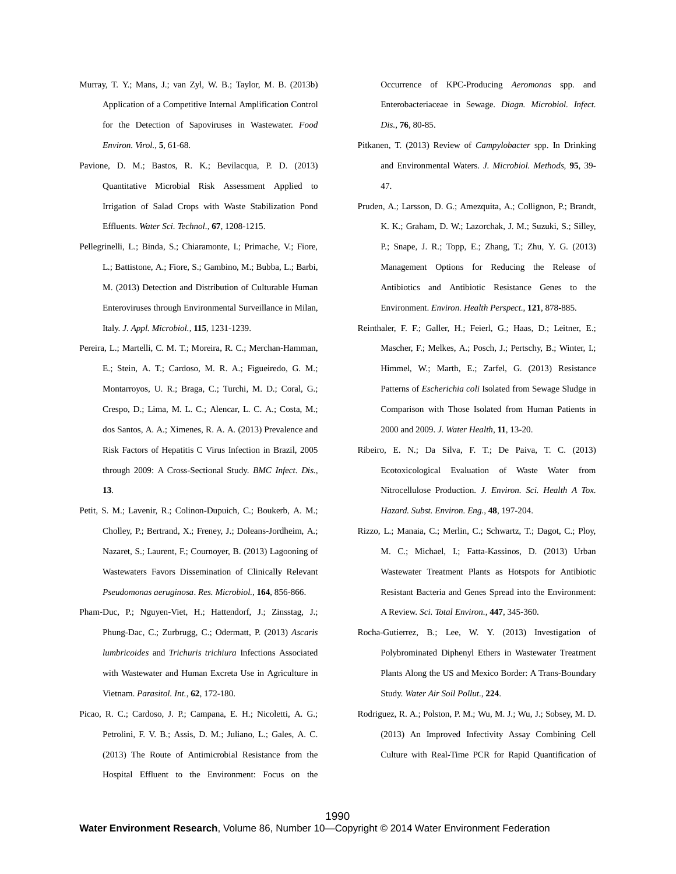- Murray, T. Y.; Mans, J.; van Zyl, W. B.; Taylor, M. B. (2013b) Application of a Competitive Internal Amplification Control for the Detection of Sapoviruses in Wastewater. *Food Environ. Virol.*, **5**, 61-68.
- Pavione, D. M.; Bastos, R. K.; Bevilacqua, P. D. (2013) Quantitative Microbial Risk Assessment Applied to Irrigation of Salad Crops with Waste Stabilization Pond Effluents. *Water Sci. Technol.*, **67**, 1208-1215.
- Pellegrinelli, L.; Binda, S.; Chiaramonte, I.; Primache, V.; Fiore, L.; Battistone, A.; Fiore, S.; Gambino, M.; Bubba, L.; Barbi, M. (2013) Detection and Distribution of Culturable Human Enteroviruses through Environmental Surveillance in Milan, Italy. *J. Appl. Microbiol.*, **115**, 1231-1239.
- Pereira, L.; Martelli, C. M. T.; Moreira, R. C.; Merchan-Hamman, E.; Stein, A. T.; Cardoso, M. R. A.; Figueiredo, G. M.; Montarroyos, U. R.; Braga, C.; Turchi, M. D.; Coral, G.; Crespo, D.; Lima, M. L. C.; Alencar, L. C. A.; Costa, M.; dos Santos, A. A.; Ximenes, R. A. A. (2013) Prevalence and Risk Factors of Hepatitis C Virus Infection in Brazil, 2005 through 2009: A Cross-Sectional Study. *BMC Infect. Dis.*, **13**.
- Petit, S. M.; Lavenir, R.; Colinon-Dupuich, C.; Boukerb, A. M.; Cholley, P.; Bertrand, X.; Freney, J.; Doleans-Jordheim, A.; Nazaret, S.; Laurent, F.; Cournoyer, B. (2013) Lagooning of Wastewaters Favors Dissemination of Clinically Relevant *Pseudomonas aeruginosa*. *Res. Microbiol.*, **164**, 856-866.
- Pham-Duc, P.; Nguyen-Viet, H.; Hattendorf, J.; Zinsstag, J.; Phung-Dac, C.; Zurbrugg, C.; Odermatt, P. (2013) *Ascaris lumbricoides* and *Trichuris trichiura* Infections Associated with Wastewater and Human Excreta Use in Agriculture in Vietnam. *Parasitol. Int.*, **62**, 172-180.
- Picao, R. C.; Cardoso, J. P.; Campana, E. H.; Nicoletti, A. G.; Petrolini, F. V. B.; Assis, D. M.; Juliano, L.; Gales, A. C. (2013) The Route of Antimicrobial Resistance from the Hospital Effluent to the Environment: Focus on the

Occurrence of KPC-Producing *Aeromonas* spp. and Enterobacteriaceae in Sewage. *Diagn. Microbiol. Infect. Dis.*, **76**, 80-85.

- Pitkanen, T. (2013) Review of *Campylobacter* spp. In Drinking and Environmental Waters. *J. Microbiol. Methods*, **95**, 39- 47.
- Pruden, A.; Larsson, D. G.; Amezquita, A.; Collignon, P.; Brandt, K. K.; Graham, D. W.; Lazorchak, J. M.; Suzuki, S.; Silley, P.; Snape, J. R.; Topp, E.; Zhang, T.; Zhu, Y. G. (2013) Management Options for Reducing the Release of Antibiotics and Antibiotic Resistance Genes to the Environment. *Environ. Health Perspect.*, **121**, 878-885.
- Reinthaler, F. F.; Galler, H.; Feierl, G.; Haas, D.; Leitner, E.; Mascher, F.; Melkes, A.; Posch, J.; Pertschy, B.; Winter, I.; Himmel, W.; Marth, E.; Zarfel, G. (2013) Resistance Patterns of *Escherichia coli* Isolated from Sewage Sludge in Comparison with Those Isolated from Human Patients in 2000 and 2009. *J. Water Health*, **11**, 13-20.
- Ribeiro, E. N.; Da Silva, F. T.; De Paiva, T. C. (2013) Ecotoxicological Evaluation of Waste Water from Nitrocellulose Production. *J. Environ. Sci. Health A Tox. Hazard. Subst. Environ. Eng.*, **48**, 197-204.
- Rizzo, L.; Manaia, C.; Merlin, C.; Schwartz, T.; Dagot, C.; Ploy, M. C.; Michael, I.; Fatta-Kassinos, D. (2013) Urban Wastewater Treatment Plants as Hotspots for Antibiotic Resistant Bacteria and Genes Spread into the Environment: A Review. *Sci. Total Environ.*, **447**, 345-360.
- Rocha-Gutierrez, B.; Lee, W. Y. (2013) Investigation of Polybrominated Diphenyl Ethers in Wastewater Treatment Plants Along the US and Mexico Border: A Trans-Boundary Study. *Water Air Soil Pollut.*, **224**.
- Rodriguez, R. A.; Polston, P. M.; Wu, M. J.; Wu, J.; Sobsey, M. D. (2013) An Improved Infectivity Assay Combining Cell Culture with Real-Time PCR for Rapid Quantification of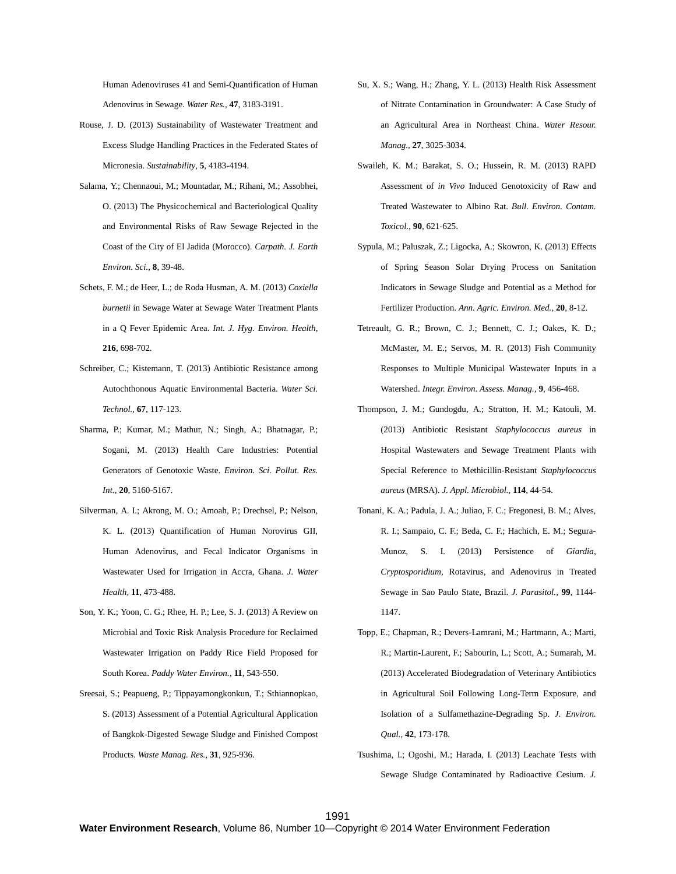Human Adenoviruses 41 and Semi-Quantification of Human Adenovirus in Sewage. *Water Res.*, **47**, 3183-3191.

- Rouse, J. D. (2013) Sustainability of Wastewater Treatment and Excess Sludge Handling Practices in the Federated States of Micronesia. *Sustainability*, **5**, 4183-4194.
- Salama, Y.; Chennaoui, M.; Mountadar, M.; Rihani, M.; Assobhei, O. (2013) The Physicochemical and Bacteriological Quality and Environmental Risks of Raw Sewage Rejected in the Coast of the City of El Jadida (Morocco). *Carpath. J. Earth Environ. Sci.*, **8**, 39-48.
- Schets, F. M.; de Heer, L.; de Roda Husman, A. M. (2013) *Coxiella burnetii* in Sewage Water at Sewage Water Treatment Plants in a Q Fever Epidemic Area. *Int. J. Hyg. Environ. Health*, **216**, 698-702.
- Schreiber, C.; Kistemann, T. (2013) Antibiotic Resistance among Autochthonous Aquatic Environmental Bacteria. *Water Sci. Technol.*, **67**, 117-123.
- Sharma, P.; Kumar, M.; Mathur, N.; Singh, A.; Bhatnagar, P.; Sogani, M. (2013) Health Care Industries: Potential Generators of Genotoxic Waste. *Environ. Sci. Pollut. Res. Int.*, **20**, 5160-5167.
- Silverman, A. I.; Akrong, M. O.; Amoah, P.; Drechsel, P.; Nelson, K. L. (2013) Quantification of Human Norovirus GII, Human Adenovirus, and Fecal Indicator Organisms in Wastewater Used for Irrigation in Accra, Ghana. *J. Water Health*, **11**, 473-488.
- Son, Y. K.; Yoon, C. G.; Rhee, H. P.; Lee, S. J. (2013) A Review on Microbial and Toxic Risk Analysis Procedure for Reclaimed Wastewater Irrigation on Paddy Rice Field Proposed for South Korea. *Paddy Water Environ.*, **11**, 543-550.
- Sreesai, S.; Peapueng, P.; Tippayamongkonkun, T.; Sthiannopkao, S. (2013) Assessment of a Potential Agricultural Application of Bangkok-Digested Sewage Sludge and Finished Compost Products. *Waste Manag. Res.*, **31**, 925-936.
- Su, X. S.; Wang, H.; Zhang, Y. L. (2013) Health Risk Assessment of Nitrate Contamination in Groundwater: A Case Study of an Agricultural Area in Northeast China. *Water Resour. Manag.*, **27**, 3025-3034.
- Swaileh, K. M.; Barakat, S. O.; Hussein, R. M. (2013) RAPD Assessment of *in Vivo* Induced Genotoxicity of Raw and Treated Wastewater to Albino Rat. *Bull. Environ. Contam. Toxicol.*, **90**, 621-625.
- Sypula, M.; Paluszak, Z.; Ligocka, A.; Skowron, K. (2013) Effects of Spring Season Solar Drying Process on Sanitation Indicators in Sewage Sludge and Potential as a Method for Fertilizer Production. *Ann. Agric. Environ. Med.*, **20**, 8-12.
- Tetreault, G. R.; Brown, C. J.; Bennett, C. J.; Oakes, K. D.; McMaster, M. E.; Servos, M. R. (2013) Fish Community Responses to Multiple Municipal Wastewater Inputs in a Watershed. *Integr. Environ. Assess. Manag.*, **9**, 456-468.
- Thompson, J. M.; Gundogdu, A.; Stratton, H. M.; Katouli, M. (2013) Antibiotic Resistant *Staphylococcus aureus* in Hospital Wastewaters and Sewage Treatment Plants with Special Reference to Methicillin-Resistant *Staphylococcus aureus* (MRSA). *J. Appl. Microbiol.*, **114**, 44-54.
- Tonani, K. A.; Padula, J. A.; Juliao, F. C.; Fregonesi, B. M.; Alves, R. I.; Sampaio, C. F.; Beda, C. F.; Hachich, E. M.; Segura-Munoz, S. I. (2013) Persistence of *Giardia*, *Cryptosporidium*, Rotavirus, and Adenovirus in Treated Sewage in Sao Paulo State, Brazil. *J. Parasitol.*, **99**, 1144- 1147.
- Topp, E.; Chapman, R.; Devers-Lamrani, M.; Hartmann, A.; Marti, R.; Martin-Laurent, F.; Sabourin, L.; Scott, A.; Sumarah, M. (2013) Accelerated Biodegradation of Veterinary Antibiotics in Agricultural Soil Following Long-Term Exposure, and Isolation of a Sulfamethazine-Degrading Sp. *J. Environ. Qual.*, **42**, 173-178.
- Tsushima, I.; Ogoshi, M.; Harada, I. (2013) Leachate Tests with Sewage Sludge Contaminated by Radioactive Cesium. *J.*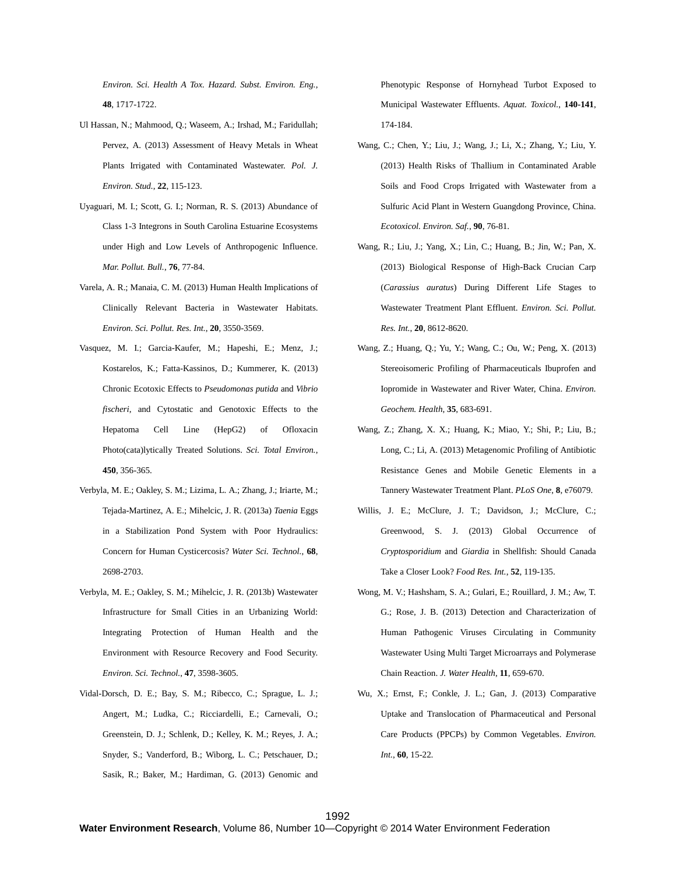*Environ. Sci. Health A Tox. Hazard. Subst. Environ. Eng.*, **48**, 1717-1722.

- Ul Hassan, N.; Mahmood, Q.; Waseem, A.; Irshad, M.; Faridullah; Pervez, A. (2013) Assessment of Heavy Metals in Wheat Plants Irrigated with Contaminated Wastewater. *Pol. J. Environ. Stud.*, **22**, 115-123.
- Uyaguari, M. I.; Scott, G. I.; Norman, R. S. (2013) Abundance of Class 1-3 Integrons in South Carolina Estuarine Ecosystems under High and Low Levels of Anthropogenic Influence. *Mar. Pollut. Bull.*, **76**, 77-84.
- Varela, A. R.; Manaia, C. M. (2013) Human Health Implications of Clinically Relevant Bacteria in Wastewater Habitats. *Environ. Sci. Pollut. Res. Int.*, **20**, 3550-3569.
- Vasquez, M. I.; Garcia-Kaufer, M.; Hapeshi, E.; Menz, J.; Kostarelos, K.; Fatta-Kassinos, D.; Kummerer, K. (2013) Chronic Ecotoxic Effects to *Pseudomonas putida* and *Vibrio fischeri*, and Cytostatic and Genotoxic Effects to the Hepatoma Cell Line (HepG2) of Ofloxacin Photo(cata)lytically Treated Solutions. *Sci. Total Environ.*, **450**, 356-365.
- Verbyla, M. E.; Oakley, S. M.; Lizima, L. A.; Zhang, J.; Iriarte, M.; Tejada-Martinez, A. E.; Mihelcic, J. R. (2013a) *Taenia* Eggs in a Stabilization Pond System with Poor Hydraulics: Concern for Human Cysticercosis? *Water Sci. Technol.*, **68**, 2698-2703.
- Verbyla, M. E.; Oakley, S. M.; Mihelcic, J. R. (2013b) Wastewater Infrastructure for Small Cities in an Urbanizing World: Integrating Protection of Human Health and the Environment with Resource Recovery and Food Security. *Environ. Sci. Technol.*, **47**, 3598-3605.
- Vidal-Dorsch, D. E.; Bay, S. M.; Ribecco, C.; Sprague, L. J.; Angert, M.; Ludka, C.; Ricciardelli, E.; Carnevali, O.; Greenstein, D. J.; Schlenk, D.; Kelley, K. M.; Reyes, J. A.; Snyder, S.; Vanderford, B.; Wiborg, L. C.; Petschauer, D.; Sasik, R.; Baker, M.; Hardiman, G. (2013) Genomic and

Phenotypic Response of Hornyhead Turbot Exposed to Municipal Wastewater Effluents. *Aquat. Toxicol.*, **140-141**, 174-184.

- Wang, C.; Chen, Y.; Liu, J.; Wang, J.; Li, X.; Zhang, Y.; Liu, Y. (2013) Health Risks of Thallium in Contaminated Arable Soils and Food Crops Irrigated with Wastewater from a Sulfuric Acid Plant in Western Guangdong Province, China. *Ecotoxicol. Environ. Saf.*, **90**, 76-81.
- Wang, R.; Liu, J.; Yang, X.; Lin, C.; Huang, B.; Jin, W.; Pan, X. (2013) Biological Response of High-Back Crucian Carp (*Carassius auratus*) During Different Life Stages to Wastewater Treatment Plant Effluent. *Environ. Sci. Pollut. Res. Int.*, **20**, 8612-8620.
- Wang, Z.; Huang, Q.; Yu, Y.; Wang, C.; Ou, W.; Peng, X. (2013) Stereoisomeric Profiling of Pharmaceuticals Ibuprofen and Iopromide in Wastewater and River Water, China. *Environ. Geochem. Health*, **35**, 683-691.
- Wang, Z.; Zhang, X. X.; Huang, K.; Miao, Y.; Shi, P.; Liu, B.; Long, C.; Li, A. (2013) Metagenomic Profiling of Antibiotic Resistance Genes and Mobile Genetic Elements in a Tannery Wastewater Treatment Plant. *PLoS One*, **8**, e76079.
- Willis, J. E.; McClure, J. T.; Davidson, J.; McClure, C.; Greenwood, S. J. (2013) Global Occurrence of *Cryptosporidium* and *Giardia* in Shellfish: Should Canada Take a Closer Look? *Food Res. Int.*, **52**, 119-135.
- Wong, M. V.; Hashsham, S. A.; Gulari, E.; Rouillard, J. M.; Aw, T. G.; Rose, J. B. (2013) Detection and Characterization of Human Pathogenic Viruses Circulating in Community Wastewater Using Multi Target Microarrays and Polymerase Chain Reaction. *J. Water Health*, **11**, 659-670.
- Wu, X.; Ernst, F.; Conkle, J. L.; Gan, J. (2013) Comparative Uptake and Translocation of Pharmaceutical and Personal Care Products (PPCPs) by Common Vegetables. *Environ. Int.*, **60**, 15-22.